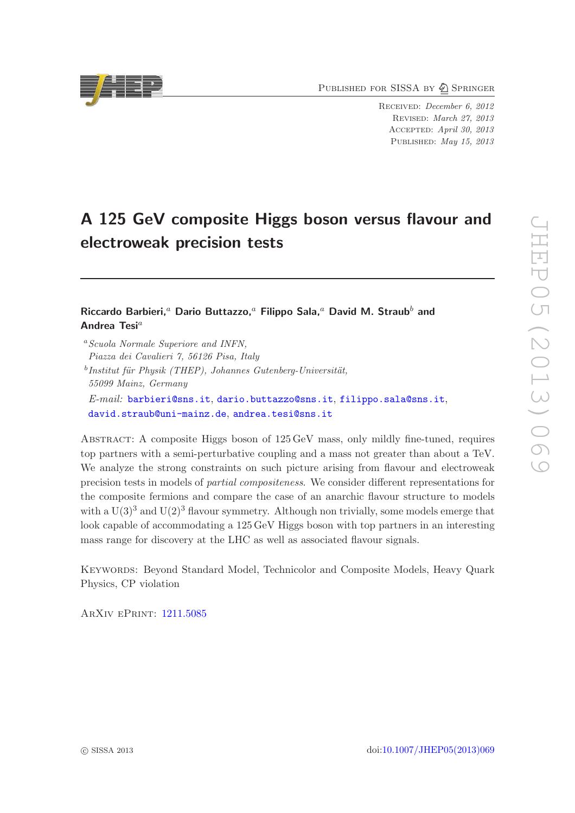PUBLISHED FOR SISSA BY 2 SPRINGER

Received: December 6, 2012 Revised: March 27, 2013 Accepted: April 30, 2013 PUBLISHED: May 15, 2013

# A 125 GeV composite Higgs boson versus flavour and electroweak precision tests

# Riccardo Barbieri,<sup>a</sup> Dario Buttazzo,<sup>a</sup> Filippo Sala,<sup>a</sup> David M. Straub<sup>b</sup> and Andrea Tesi<sup>a</sup>

<sup>a</sup>Scuola Normale Superiore and INFN, Piazza dei Cavalieri 7, 56126 Pisa, Italy

 $^{b}$ Institut für Physik (THEP), Johannes Gutenberg-Universität, 55099 Mainz, Germany E-mail: [barbieri@sns.it](mailto:barbieri@sns.it), [dario.buttazzo@sns.it](mailto:dario.buttazzo@sns.it), [filippo.sala@sns.it](mailto:filippo.sala@sns.it), [david.straub@uni-mainz.de](mailto:david.straub@uni-mainz.de), [andrea.tesi@sns.it](mailto:andrea.tesi@sns.it)

Abstract: A composite Higgs boson of 125 GeV mass, only mildly fine-tuned, requires top partners with a semi-perturbative coupling and a mass not greater than about a TeV. We analyze the strong constraints on such picture arising from flavour and electroweak precision tests in models of partial compositeness. We consider different representations for the composite fermions and compare the case of an anarchic flavour structure to models with a  $U(3)^3$  and  $U(2)^3$  flavour symmetry. Although non trivially, some models emerge that look capable of accommodating a 125 GeV Higgs boson with top partners in an interesting mass range for discovery at the LHC as well as associated flavour signals.

Keywords: Beyond Standard Model, Technicolor and Composite Models, Heavy Quark Physics, CP violation

ArXiv ePrint: [1211.5085](http://arxiv.org/abs/1211.5085)

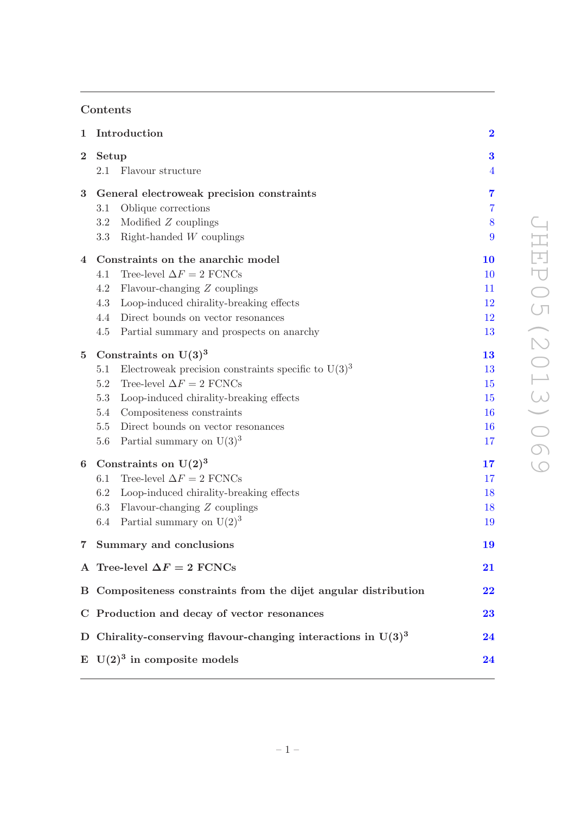# Contents

| $\mathbf{1}$   | Introduction                                                     |                |  |
|----------------|------------------------------------------------------------------|----------------|--|
| $\bf{2}$       | Setup                                                            | 3              |  |
|                | Flavour structure<br>2.1                                         | $\overline{4}$ |  |
| 3              | General electroweak precision constraints                        | $\overline{7}$ |  |
|                | 3.1<br>Oblique corrections                                       | $\overline{7}$ |  |
|                | Modified Z couplings<br>3.2                                      | 8              |  |
|                | Right-handed $W$ couplings<br>3.3                                | 9              |  |
| 4              | Constraints on the anarchic model                                | 10             |  |
|                | Tree-level $\Delta F = 2$ FCNCs<br>4.1                           | 10             |  |
|                | 4.2<br>Flavour-changing Z couplings                              | 11             |  |
|                | Loop-induced chirality-breaking effects<br>4.3                   | 12             |  |
|                | 4.4<br>Direct bounds on vector resonances                        | <sup>12</sup>  |  |
|                | 4.5<br>Partial summary and prospects on anarchy                  | 13             |  |
| $\overline{5}$ | Constraints on $U(3)^3$                                          | 13             |  |
|                | Electroweak precision constraints specific to $U(3)^3$<br>5.1    | 13             |  |
|                | Tree-level $\Delta F = 2$ FCNCs<br>$5.2\,$                       | 15             |  |
|                | 5.3<br>Loop-induced chirality-breaking effects                   | 15             |  |
|                | Compositeness constraints<br>5.4                                 | 16             |  |
|                | 5.5<br>Direct bounds on vector resonances                        | 16             |  |
|                | Partial summary on $U(3)^3$<br>5.6                               | 17             |  |
| 6              | Constraints on $U(2)^3$                                          | 17             |  |
|                | Tree-level $\Delta F = 2$ FCNCs<br>6.1                           | 17             |  |
|                | Loop-induced chirality-breaking effects<br>6.2                   | 18             |  |
|                | 6.3<br>Flavour-changing Z couplings                              | 18             |  |
|                | Partial summary on $U(2)^3$<br>6.4                               | 19             |  |
| $\overline{7}$ | Summary and conclusions                                          | 19             |  |
|                | A Tree-level $\Delta F = 2$ FCNCs                                | $\bf{21}$      |  |
|                | B Compositeness constraints from the dijet angular distribution  | 22             |  |
|                | C Production and decay of vector resonances                      | 23             |  |
|                | D Chirality-conserving flavour-changing interactions in $U(3)^3$ | 24             |  |
|                | E $U(2)^3$ in composite models                                   | 24             |  |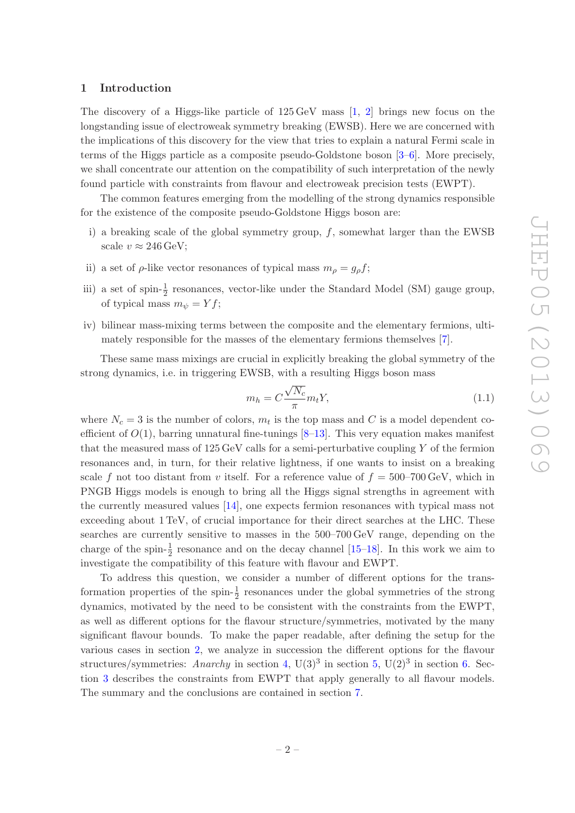#### <span id="page-2-0"></span>1 Introduction

The discovery of a Higgs-like particle of  $125 \,\text{GeV}$  mass  $\left[1, 2\right]$  brings new focus on the longstanding issue of electroweak symmetry breaking (EWSB). Here we are concerned with the implications of this discovery for the view that tries to explain a natural Fermi scale in terms of the Higgs particle as a composite pseudo-Goldstone boson [\[3](#page-27-2)[–6\]](#page-27-3). More precisely, we shall concentrate our attention on the compatibility of such interpretation of the newly found particle with constraints from flavour and electroweak precision tests (EWPT).

The common features emerging from the modelling of the strong dynamics responsible for the existence of the composite pseudo-Goldstone Higgs boson are:

- i) a breaking scale of the global symmetry group,  $f$ , somewhat larger than the EWSB scale  $v \approx 246 \,\text{GeV}$ ;
- ii) a set of  $\rho$ -like vector resonances of typical mass  $m_{\rho} = g_{\rho} f$ ;
- iii) a set of spin- $\frac{1}{2}$  resonances, vector-like under the Standard Model (SM) gauge group, of typical mass  $m_{\psi} = Yf$ ;
- iv) bilinear mass-mixing terms between the composite and the elementary fermions, ultimately responsible for the masses of the elementary fermions themselves [\[7\]](#page-27-4).

These same mass mixings are crucial in explicitly breaking the global symmetry of the strong dynamics, i.e. in triggering EWSB, with a resulting Higgs boson mass

<span id="page-2-1"></span>
$$
m_h = C \frac{\sqrt{N_c}}{\pi} m_t Y,
$$
\n(1.1)

where  $N_c = 3$  is the number of colors,  $m_t$  is the top mass and C is a model dependent coefficient of  $O(1)$ , barring unnatural fine-tunings  $[8-13]$ . This very equation makes manifest that the measured mass of  $125 \,\text{GeV}$  calls for a semi-perturbative coupling Y of the fermion resonances and, in turn, for their relative lightness, if one wants to insist on a breaking scale f not too distant from v itself. For a reference value of  $f = 500-700 \,\text{GeV}$ , which in PNGB Higgs models is enough to bring all the Higgs signal strengths in agreement with the currently measured values [\[14\]](#page-28-1), one expects fermion resonances with typical mass not exceeding about 1 TeV, of crucial importance for their direct searches at the LHC. These searches are currently sensitive to masses in the 500–700 GeV range, depending on the charge of the spin- $\frac{1}{2}$  resonance and on the decay channel [\[15](#page-28-2)[–18](#page-28-3)]. In this work we aim to investigate the compatibility of this feature with flavour and EWPT.

To address this question, we consider a number of different options for the transformation properties of the spin- $\frac{1}{2}$  resonances under the global symmetries of the strong dynamics, motivated by the need to be consistent with the constraints from the EWPT, as well as different options for the flavour structure/symmetries, motivated by the many significant flavour bounds. To make the paper readable, after defining the setup for the various cases in section [2,](#page-3-0) we analyze in succession the different options for the flavour structures/symmetries: Anarchy in section [4,](#page-10-0)  $U(3)^3$  in section [5,](#page-13-1)  $U(2)^3$  in section [6.](#page-17-1) Section [3](#page-7-0) describes the constraints from EWPT that apply generally to all flavour models. The summary and the conclusions are contained in section [7.](#page-19-1)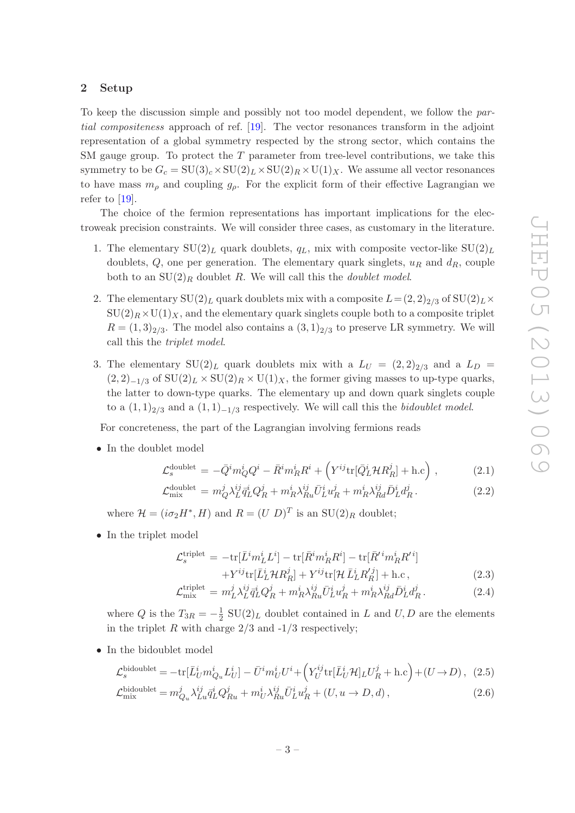### <span id="page-3-0"></span>2 Setup

To keep the discussion simple and possibly not too model dependent, we follow the partial compositeness approach of ref. [\[19\]](#page-28-4). The vector resonances transform in the adjoint representation of a global symmetry respected by the strong sector, which contains the SM gauge group. To protect the  $T$  parameter from tree-level contributions, we take this symmetry to be  $G_c = SU(3)_c \times SU(2)_L \times SU(2)_R \times U(1)_X$ . We assume all vector resonances to have mass  $m_{\rho}$  and coupling  $g_{\rho}$ . For the explicit form of their effective Lagrangian we refer to  $[19]$ .

The choice of the fermion representations has important implications for the electroweak precision constraints. We will consider three cases, as customary in the literature.

- 1. The elementary  $SU(2)_L$  quark doublets,  $q_L$ , mix with composite vector-like  $SU(2)_L$ doublets,  $Q$ , one per generation. The elementary quark singlets,  $u_R$  and  $d_R$ , couple both to an  $SU(2)_R$  doublet R. We will call this the *doublet model*.
- 2. The elementary  $SU(2)_L$  quark doublets mix with a composite  $L = (2, 2)_{2/3}$  of  $SU(2)_L \times$  $SU(2)_R \times U(1)_X$ , and the elementary quark singlets couple both to a composite triplet  $R = (1, 3)_{2/3}$ . The model also contains a  $(3, 1)_{2/3}$  to preserve LR symmetry. We will call this the triplet model.
- 3. The elementary  $SU(2)_L$  quark doublets mix with a  $L_U = (2, 2)_{2/3}$  and a  $L_D =$  $(2, 2)_{-1/3}$  of  $SU(2)_L \times SU(2)_R \times U(1)_X$ , the former giving masses to up-type quarks, the latter to down-type quarks. The elementary up and down quark singlets couple to a  $(1,1)_{2/3}$  and a  $(1,1)_{-1/3}$  respectively. We will call this the *bidoublet model*.

For concreteness, the part of the Lagrangian involving fermions reads

• In the doublet model

<span id="page-3-1"></span>
$$
\mathcal{L}_s^{\text{doublet}} = -\bar{Q}^i m_Q^i Q^i - \bar{R}^i m_R^i R^i + \left( Y^{ij} \text{tr}[\bar{Q}_L^i \mathcal{H} R_R^j] + \text{h.c} \right) , \qquad (2.1)
$$

$$
\mathcal{L}^{\text{doublet}}_{\text{mix}} = m_Q^j \lambda_L^{ij} \bar{q}_L^i Q_R^j + m_R^i \lambda_{Ru}^{ij} \bar{U}_L^i u_R^j + m_R^i \lambda_{Rd}^{ij} \bar{D}_L^i d_R^j. \tag{2.2}
$$

where  $\mathcal{H} = (i\sigma_2 H^*, H)$  and  $R = (U D)^T$  is an  $SU(2)_R$  doublet;

• In the triplet model

<span id="page-3-2"></span>
$$
\mathcal{L}_s^{\text{triplet}} = -\text{tr}[\bar{L}^i m_L^i L^i] - \text{tr}[\bar{R}^i m_R^i R^i] - \text{tr}[\bar{R}'^i m_R^i R'^i]
$$

$$
+ \nabla^{ij} \text{tr}[\bar{\mathbf{I}}^i \mathcal{A} \mathcal{D}^j] + \nabla^{ij} \text{tr}[\mathcal{A} \bar{\mathbf{I}}^i \mathcal{D}'^j] + \text{h.c.}
$$

$$
+Y^{ij}\text{tr}[\bar{L}_L^i\mathcal{H}R_R^j]+Y^{ij}\text{tr}[\mathcal{H}\bar{L}_L^iR_R'^j]+h.c\,,\tag{2.3}
$$

$$
\mathcal{L}^{\text{triplet}}_{\text{mix}} = m_L^j \lambda_L^{ij} \bar{q}_L^i Q_R^j + m_R^i \lambda_{Ru}^{ij} \bar{U}_L^i u_R^j + m_R^i \lambda_{Rd}^{ij} \bar{D}_L^i d_R^j. \tag{2.4}
$$

where  $Q$  is the  $T_{3R} = -\frac{1}{2}$  $\frac{1}{2}$  SU(2)<sub>L</sub> doublet contained in L and U, D are the elements in the triplet R with charge  $2/3$  and  $-1/3$  respectively;

• In the bidoublet model

<span id="page-3-3"></span>
$$
\mathcal{L}_s^{\text{bidoublet}} = -\text{tr}[\bar{L}_U^i m_{Q_u}^i L_U^i] - \bar{U}^i m_U^i U^i + \left(Y_U^{ij} \text{tr}[\bar{L}_U^i \mathcal{H}]_L U_R^j + \text{h.c}\right) + (U \to D), \tag{2.5}
$$

$$
\mathcal{L}_{\text{mix}}^{\text{bidoublet}} = m_{Q_u}^j \lambda_{Lu}^{ij} \bar{q}_L^i Q_{Ru}^j + m_U^i \lambda_{Ru}^{ij} \bar{U}_L^i u_R^j + (U, u \to D, d), \qquad (2.6)
$$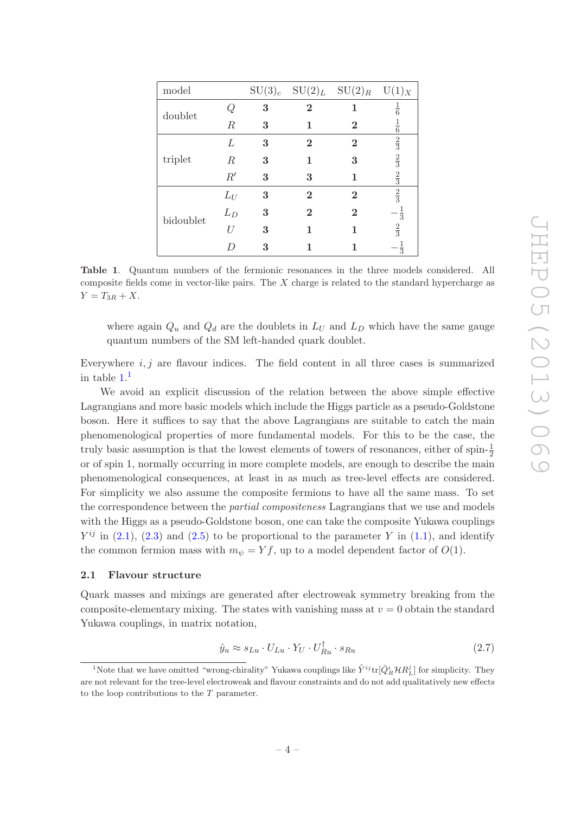| model     |                  |   |          | $SU(3)_c$ $SU(2)_L$ $SU(2)_R$ $U(1)_X$ |                |
|-----------|------------------|---|----------|----------------------------------------|----------------|
| doublet   |                  | 3 | $\bf{2}$ | 1                                      | $\frac{1}{6}$  |
|           | $\mathbb{R}$     | 3 | 1        | $\bf{2}$                               | $\frac{1}{6}$  |
|           | L                | 3 | $\bf{2}$ | $\overline{2}$                         | $\frac{2}{3}$  |
| triplet   | $\boldsymbol{R}$ | 3 | 1        | 3                                      | $\frac{2}{3}$  |
|           | R'               | 3 | 3        | 1                                      | $\frac{2}{3}$  |
|           | $L_U$            | 3 | $\bf{2}$ | $\overline{2}$                         | $\frac{2}{3}$  |
| bidoublet | $L_D$            | 3 | $\bf{2}$ | $\bf{2}$                               | $-\frac{1}{3}$ |
|           | TТ               | 3 | 1        | 1                                      | $\frac{2}{3}$  |
|           |                  | 3 |          |                                        | $\frac{1}{3}$  |

<span id="page-4-1"></span>Table 1. Quantum numbers of the fermionic resonances in the three models considered. All composite fields come in vector-like pairs. The  $X$  charge is related to the standard hypercharge as  $Y = T_{3R} + X.$ 

where again  $Q_u$  and  $Q_d$  are the doublets in  $L_U$  and  $L_D$  which have the same gauge quantum numbers of the SM left-handed quark doublet.

Everywhere  $i, j$  are flavour indices. The field content in all three cases is summarized in table  $1<sup>1</sup>$  $1<sup>1</sup>$ 

We avoid an explicit discussion of the relation between the above simple effective Lagrangians and more basic models which include the Higgs particle as a pseudo-Goldstone boson. Here it suffices to say that the above Lagrangians are suitable to catch the main phenomenological properties of more fundamental models. For this to be the case, the truly basic assumption is that the lowest elements of towers of resonances, either of spin- $\frac{1}{2}$ or of spin 1, normally occurring in more complete models, are enough to describe the main phenomenological consequences, at least in as much as tree-level effects are considered. For simplicity we also assume the composite fermions to have all the same mass. To set the correspondence between the *partial compositeness* Lagrangians that we use and models with the Higgs as a pseudo-Goldstone boson, one can take the composite Yukawa couplings  $Y^{ij}$  in [\(2.1\)](#page-3-1), [\(2.3\)](#page-3-2) and [\(2.5\)](#page-3-3) to be proportional to the parameter Y in [\(1.1\)](#page-2-1), and identify the common fermion mass with  $m_{\psi} = Yf$ , up to a model dependent factor of  $O(1)$ .

## <span id="page-4-0"></span>2.1 Flavour structure

Quark masses and mixings are generated after electroweak symmetry breaking from the composite-elementary mixing. The states with vanishing mass at  $v = 0$  obtain the standard Yukawa couplings, in matrix notation,

<span id="page-4-3"></span>
$$
\hat{y}_u \approx s_{Lu} \cdot U_{Lu} \cdot Y_U \cdot U_{Ru}^\dagger \cdot s_{Ru} \tag{2.7}
$$

<span id="page-4-2"></span><sup>&</sup>lt;sup>1</sup>Note that we have omitted "wrong-chirality" Yukawa couplings like  $\tilde{Y}^{ij}$ tr $[\bar{Q}_R^i \mathcal{H} R_L^j]$  for simplicity. They are not relevant for the tree-level electroweak and flavour constraints and do not add qualitatively new effects to the loop contributions to the  $T$  parameter.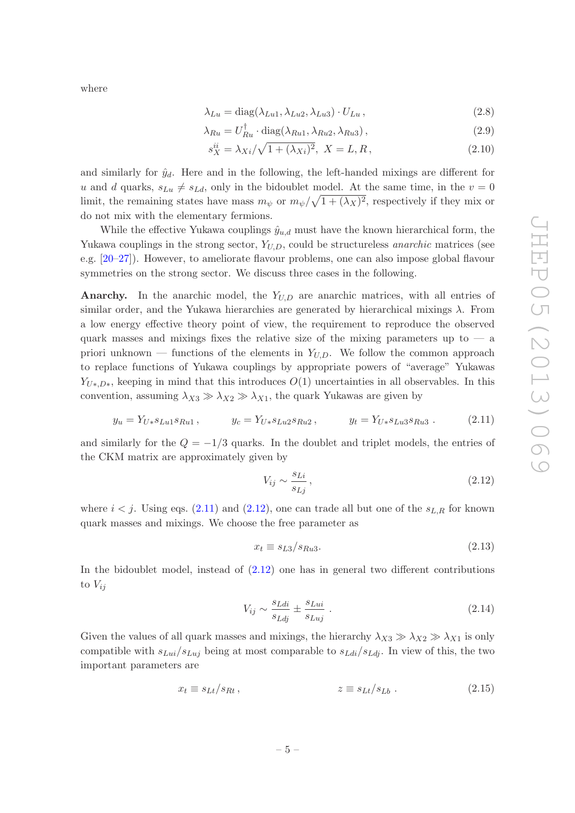where

$$
\lambda_{Lu} = \text{diag}(\lambda_{Lu1}, \lambda_{Lu2}, \lambda_{Lu3}) \cdot U_{Lu}, \qquad (2.8)
$$

$$
\lambda_{Ru} = U_{Ru}^{\dagger} \cdot \text{diag}(\lambda_{Ru1}, \lambda_{Ru2}, \lambda_{Ru3}), \qquad (2.9)
$$

$$
s_X^{ii} = \lambda_{Xi}/\sqrt{1 + (\lambda_{Xi})^2}, \ X = L, R,
$$
\n(2.10)

and similarly for  $\hat{y}_d$ . Here and in the following, the left-handed mixings are different for u and d quarks,  $s_{Lu} \neq s_{Ld}$ , only in the bidoublet model. At the same time, in the  $v = 0$ limit, the remaining states have mass  $m_{\psi}$  or  $m_{\psi}/\sqrt{1+(\lambda_X)^2}$ , respectively if they mix or do not mix with the elementary fermions.

While the effective Yukawa couplings  $\hat{y}_{u,d}$  must have the known hierarchical form, the Yukawa couplings in the strong sector,  $Y_{U,D}$ , could be structureless *anarchic* matrices (see e.g. [\[20](#page-28-5)[–27\]](#page-28-6)). However, to ameliorate flavour problems, one can also impose global flavour symmetries on the strong sector. We discuss three cases in the following.

Anarchy. In the anarchic model, the  $Y_{U,D}$  are anarchic matrices, with all entries of similar order, and the Yukawa hierarchies are generated by hierarchical mixings  $\lambda$ . From a low energy effective theory point of view, the requirement to reproduce the observed quark masses and mixings fixes the relative size of the mixing parameters up to  $\frac{1}{2}$ priori unknown — functions of the elements in  $Y_{U,D}$ . We follow the common approach to replace functions of Yukawa couplings by appropriate powers of "average" Yukawas  $Y_{U*,D*}$ , keeping in mind that this introduces  $O(1)$  uncertainties in all observables. In this convention, assuming  $\lambda_{X3} \gg \lambda_{X2} \gg \lambda_{X1}$ , the quark Yukawas are given by

$$
y_u = Y_{U*} s_{Lu1} s_{Ru1},
$$
  $y_c = Y_{U*} s_{Lu2} s_{Ru2},$   $y_t = Y_{U*} s_{Lu3} s_{Ru3}.$  (2.11)

and similarly for the  $Q = -1/3$  quarks. In the doublet and triplet models, the entries of the CKM matrix are approximately given by

<span id="page-5-1"></span><span id="page-5-0"></span>
$$
V_{ij} \sim \frac{s_{Li}}{s_{Lj}}\,,\tag{2.12}
$$

where  $i < j$ . Using eqs. [\(2.11\)](#page-5-0) and [\(2.12\)](#page-5-1), one can trade all but one of the  $s_{L,R}$  for known quark masses and mixings. We choose the free parameter as

<span id="page-5-4"></span><span id="page-5-2"></span>
$$
x_t \equiv s_{L3}/s_{Ru3}.\tag{2.13}
$$

In the bidoublet model, instead of [\(2.12\)](#page-5-1) one has in general two different contributions to  $V_{ij}$ 

<span id="page-5-3"></span>
$$
V_{ij} \sim \frac{s_{Ldi}}{s_{Ldj}} \pm \frac{s_{Lui}}{s_{Luj}} \tag{2.14}
$$

Given the values of all quark masses and mixings, the hierarchy  $\lambda_{X3} \gg \lambda_{X2} \gg \lambda_{X1}$  is only compatible with  $s_{Lui}/s_{Luj}$  being at most comparable to  $s_{Ldi}/s_{Ldi}$ . In view of this, the two important parameters are

$$
x_t \equiv s_{Lt}/s_{Rt} \,, \qquad z \equiv s_{Lt}/s_{Lb} \,. \tag{2.15}
$$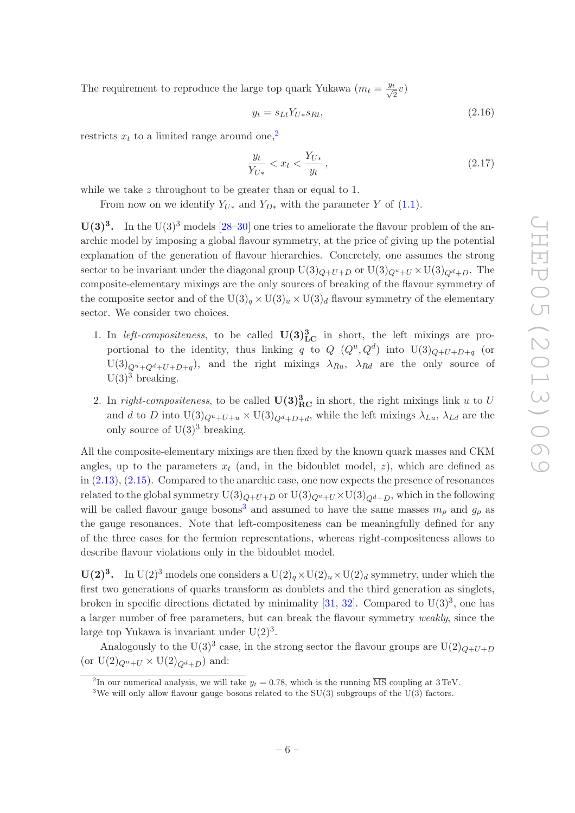The requirement to reproduce the large top quark Yukawa  $(m_t = \frac{y_t}{\sqrt{a}})$  $\frac{t}{2}v)$ 

$$
y_t = s_{Lt} Y_{U*} s_{Rt}, \qquad (2.16)
$$

restricts  $x_t$  to a limited range around one,<sup>[2](#page-6-0)</sup>

$$
\frac{y_t}{Y_{U*}} < x_t < \frac{Y_{U*}}{y_t},\tag{2.17}
$$

while we take z throughout to be greater than or equal to 1.

From now on we identify  $Y_{U*}$  and  $Y_{D*}$  with the parameter Y of [\(1.1\)](#page-2-1).

 $U(3)^3$ . In the U(3)<sup>3</sup> models [\[28](#page-28-7)[–30](#page-29-0)] one tries to ameliorate the flavour problem of the anarchic model by imposing a global flavour symmetry, at the price of giving up the potential explanation of the generation of flavour hierarchies. Concretely, one assumes the strong sector to be invariant under the diagonal group  $U(3)_{Q+U+D}$  or  $U(3)_{Q+U} \times U(3)_{Q+D}$ . The composite-elementary mixings are the only sources of breaking of the flavour symmetry of the composite sector and of the  $U(3)_q \times U(3)_u \times U(3)_d$  flavour symmetry of the elementary sector. We consider two choices.

- 1. In *left-compositeness*, to be called  $\mathbf{U(3)}_{\text{LC}}^3$  in short, the left mixings are proportional to the identity, thus linking q to  $Q$   $(Q^u, Q^d)$  into  $U(3)_{Q+U+D+q}$  (or  $U(3)_{Q^u+Q^d+U+D+q}$ , and the right mixings  $\lambda_{Ru}$ ,  $\lambda_{Rd}$  are the only source of  $U(3)<sup>3</sup>$  breaking.
- 2. In right-compositeness, to be called  $\mathbf{U(3)}_{\text{RC}}^3$  in short, the right mixings link u to U and d to D into  $U(3)_{Q^u+U+u} \times U(3)_{Q^d+D+d}$ , while the left mixings  $\lambda_{Lu}$ ,  $\lambda_{Ld}$  are the only source of  $U(3)^3$  breaking.

All the composite-elementary mixings are then fixed by the known quark masses and CKM angles, up to the parameters  $x_t$  (and, in the bidoublet model, z), which are defined as in [\(2.13\)](#page-5-2), [\(2.15\)](#page-5-3). Compared to the anarchic case, one now expects the presence of resonances related to the global symmetry  $U(3)_{Q+U+D}$  or  $U(3)_{Q^u+U}\times U(3)_{Q^d+D}$ , which in the following will be called flavour gauge bosons<sup>[3](#page-6-1)</sup> and assumed to have the same masses  $m<sub>o</sub>$  and  $g<sub>o</sub>$  as the gauge resonances. Note that left-compositeness can be meaningfully defined for any of the three cases for the fermion representations, whereas right-compositeness allows to describe flavour violations only in the bidoublet model.

 $U(2)^3$ . In  $U(2)^3$  models one considers a  $U(2)_q \times U(2)_u \times U(2)_d$  symmetry, under which the first two generations of quarks transform as doublets and the third generation as singlets, broken in specific directions dictated by minimality [\[31](#page-29-1), [32\]](#page-29-2). Compared to  $U(3)^3$ , one has a larger number of free parameters, but can break the flavour symmetry weakly, since the large top Yukawa is invariant under  $U(2)^3$ .

Analogously to the U(3)<sup>3</sup> case, in the strong sector the flavour groups are U(2)<sub>Q+U+D</sub> (or  $U(2)_{Q^u+U} \times U(2)_{Q^d+D}$ ) and:

<sup>&</sup>lt;sup>2</sup>In our numerical analysis, we will take  $y_t = 0.78$ , which is the running  $\overline{\text{MS}}$  coupling at 3 TeV.

<span id="page-6-1"></span><span id="page-6-0"></span><sup>&</sup>lt;sup>3</sup>We will only allow flavour gauge bosons related to the  $SU(3)$  subgroups of the U(3) factors.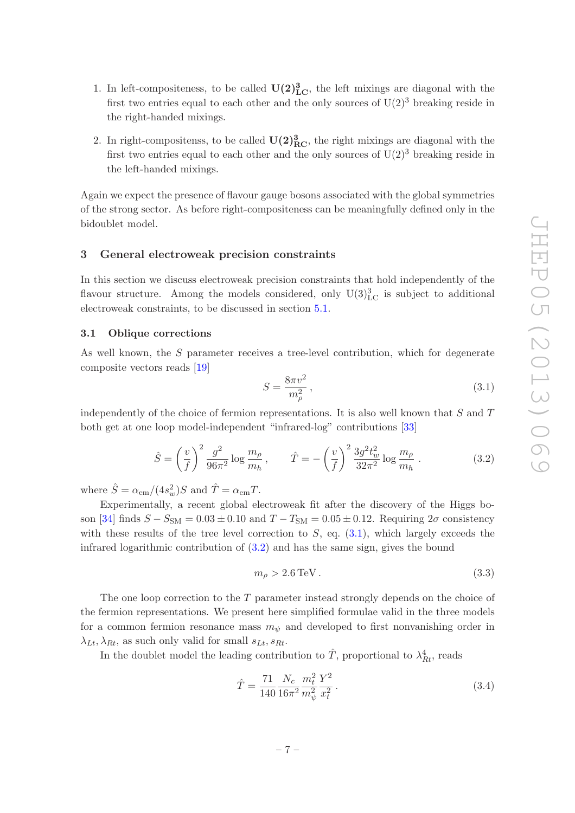- 1. In left-compositeness, to be called  $U(2)^3_{\text{LC}}$ , the left mixings are diagonal with the first two entries equal to each other and the only sources of  $U(2)^3$  breaking reside in the right-handed mixings.
- 2. In right-compositenss, to be called  $\mathbf{U}(2)_{\text{RC}}^3$ , the right mixings are diagonal with the first two entries equal to each other and the only sources of  $U(2)^3$  breaking reside in the left-handed mixings.

Again we expect the presence of flavour gauge bosons associated with the global symmetries of the strong sector. As before right-compositeness can be meaningfully defined only in the bidoublet model.

#### <span id="page-7-0"></span>3 General electroweak precision constraints

In this section we discuss electroweak precision constraints that hold independently of the flavour structure. Among the models considered, only  $\mathrm{U}(3)_{\mathrm{LC}}^3$  is subject to additional electroweak constraints, to be discussed in section [5.1.](#page-13-2)

### <span id="page-7-1"></span>3.1 Oblique corrections

As well known, the S parameter receives a tree-level contribution, which for degenerate composite vectors reads [\[19](#page-28-4)]

<span id="page-7-2"></span>
$$
S = \frac{8\pi v^2}{m_\rho^2},\tag{3.1}
$$

independently of the choice of fermion representations. It is also well known that  $S$  and  $T$ both get at one loop model-independent "infrared-log" contributions [\[33\]](#page-29-3)

<span id="page-7-3"></span>
$$
\hat{S} = \left(\frac{v}{f}\right)^2 \frac{g^2}{96\pi^2} \log \frac{m_\rho}{m_h}, \qquad \hat{T} = -\left(\frac{v}{f}\right)^2 \frac{3g^2 t_w^2}{32\pi^2} \log \frac{m_\rho}{m_h}.
$$
\n(3.2)

where  $\hat{S} = \alpha_{\rm em} / (4s_w^2) S$  and  $\hat{T} = \alpha_{\rm em} T$ .

Experimentally, a recent global electroweak fit after the discovery of the Higgs bo-son [\[34\]](#page-29-4) finds  $S - S_{SM} = 0.03 \pm 0.10$  and  $T - T_{SM} = 0.05 \pm 0.12$ . Requiring  $2\sigma$  consistency with these results of the tree level correction to  $S$ , eq.  $(3.1)$ , which largely exceeds the infrared logarithmic contribution of [\(3.2\)](#page-7-3) and has the same sign, gives the bound

$$
m_{\rho} > 2.6 \,\text{TeV} \,. \tag{3.3}
$$

The one loop correction to the T parameter instead strongly depends on the choice of the fermion representations. We present here simplified formulae valid in the three models for a common fermion resonance mass  $m_{\psi}$  and developed to first nonvanishing order in  $\lambda_{Lt}$ , as such only valid for small  $s_{Lt}$ ,  $s_{Rt}$ .

In the doublet model the leading contribution to  $\hat{T}$ , proportional to  $\lambda_{Rt}^4$ , reads

<span id="page-7-4"></span>
$$
\hat{T} = \frac{71}{140} \frac{N_c}{16\pi^2} \frac{m_t^2}{m_\psi^2} \frac{Y^2}{x_t^2} \,. \tag{3.4}
$$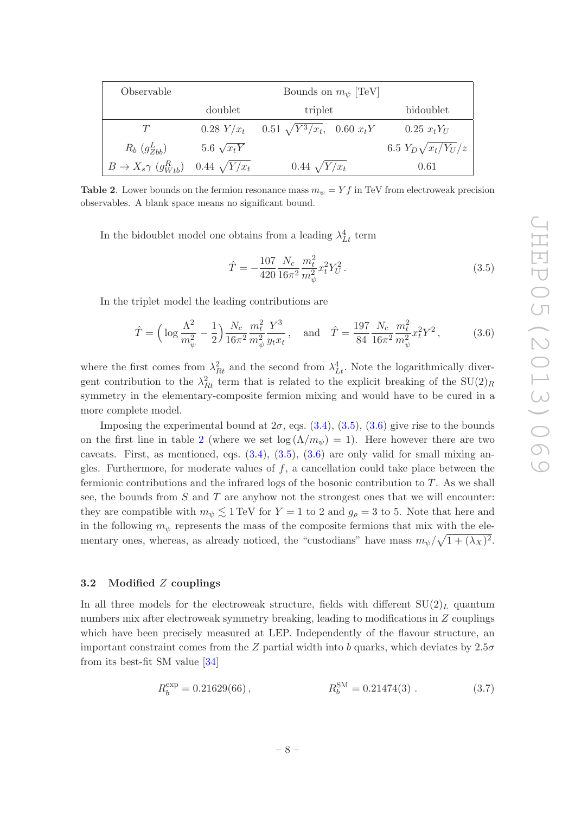| Observable                                  |                     | Bounds on $m_{\psi}$ [TeV]          |                           |
|---------------------------------------------|---------------------|-------------------------------------|---------------------------|
|                                             | doublet             | triplet                             | bidoublet                 |
| Ŧ                                           | $0.28 Y/x_t$        | $0.51 \sqrt{Y^3}/x_t$ , $0.60 x_tY$ | $0.25 \; x_t Y_U$         |
| $R_b$ $(g_{Zbb}^L)$                         | 5.6 $\sqrt{x_tY}$   |                                     | 6.5 $Y_D\sqrt{x_t/Y_U/z}$ |
| $B \to X_s \gamma \left( g_{Wtb}^R \right)$ | $0.44 \sqrt{Y/x_t}$ | $0.44 \sqrt{Y/x_t}$                 | 0.61                      |

<span id="page-8-3"></span>**Table 2.** Lower bounds on the fermion resonance mass  $m_{\psi} = Yf$  in TeV from electroweak precision observables. A blank space means no significant bound.

In the bidoublet model one obtains from a leading  $\lambda_{Lt}^4$  term

<span id="page-8-1"></span>
$$
\hat{T} = -\frac{107}{420} \frac{N_c}{16\pi^2} \frac{m_t^2}{m_\psi^2} x_t^2 Y_U^2.
$$
\n(3.5)

In the triplet model the leading contributions are

<span id="page-8-2"></span>
$$
\hat{T} = \left(\log \frac{\Lambda^2}{m_{\psi}^2} - \frac{1}{2}\right) \frac{N_c}{16\pi^2} \frac{m_t^2}{m_{\psi}^2} \frac{Y^3}{y_t x_t}, \text{ and } \hat{T} = \frac{197}{84} \frac{N_c}{16\pi^2} \frac{m_t^2}{m_{\psi}^2} x_t^2 Y^2, \tag{3.6}
$$

where the first comes from  $\lambda_{Rt}^2$  and the second from  $\lambda_{Lt}^4$ . Note the logarithmically divergent contribution to the  $\lambda_{Rt}^2$  term that is related to the explicit breaking of the  $SU(2)_R$ symmetry in the elementary-composite fermion mixing and would have to be cured in a more complete model.

Imposing the experimental bound at  $2\sigma$ , eqs.  $(3.4)$ ,  $(3.5)$ ,  $(3.6)$  give rise to the bounds on the first line in table [2](#page-8-3) (where we set  $\log(\Lambda/m_{\psi}) = 1$ ). Here however there are two caveats. First, as mentioned, eqs.  $(3.4)$ ,  $(3.5)$ ,  $(3.6)$  are only valid for small mixing angles. Furthermore, for moderate values of  $f$ , a cancellation could take place between the fermionic contributions and the infrared logs of the bosonic contribution to  $T$ . As we shall see, the bounds from  $S$  and  $T$  are anyhow not the strongest ones that we will encounter: they are compatible with  $m_{\psi} \leq 1$  TeV for  $Y = 1$  to 2 and  $g_{\rho} = 3$  to 5. Note that here and in the following  $m_{\psi}$  represents the mass of the composite fermions that mix with the elementary ones, whereas, as already noticed, the "custodians" have mass  $m_{\psi}/\sqrt{1+(\lambda_X)^2}$ .

#### <span id="page-8-0"></span>3.2 Modified Z couplings

In all three models for the electroweak structure, fields with different  $SU(2)_L$  quantum numbers mix after electroweak symmetry breaking, leading to modifications in Z couplings which have been precisely measured at LEP. Independently of the flavour structure, an important constraint comes from the Z partial width into b quarks, which deviates by  $2.5\sigma$ from its best-fit SM value [\[34](#page-29-4)]

<span id="page-8-4"></span>
$$
R_b^{\text{exp}} = 0.21629(66) \,, \qquad R_b^{\text{SM}} = 0.21474(3) \,. \tag{3.7}
$$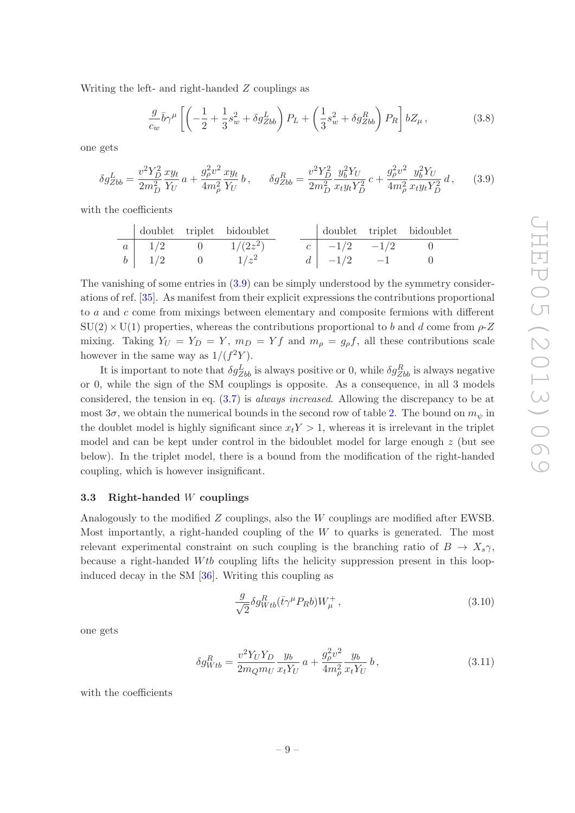Writing the left- and right-handed Z couplings as

<span id="page-9-1"></span>
$$
\frac{g}{c_w}\bar{b}\gamma^{\mu}\left[\left(-\frac{1}{2} + \frac{1}{3}s_w^2 + \delta g_{Zbb}^L\right)P_L + \left(\frac{1}{3}s_w^2 + \delta g_{Zbb}^R\right)P_R\right]bZ_{\mu},\tag{3.8}
$$

one gets

$$
\delta g_{Zbb}^L = \frac{v^2 Y_D^2}{2m_D^2} \frac{x y_t}{Y_U} a + \frac{g_\rho^2 v^2}{4m_\rho^2} \frac{x y_t}{Y_U} b, \qquad \delta g_{Zbb}^R = \frac{v^2 Y_D^2}{2m_D^2} \frac{y_b^2 Y_U}{x_t y_t Y_D^2} c + \frac{g_\rho^2 v^2}{4m_\rho^2} \frac{y_b^2 Y_U}{x_t y_t Y_D^2} d, \qquad (3.9)
$$

with the coefficients

|              | doublet triplet bidoublet |  |                                               | doublet triplet bidoublet |
|--------------|---------------------------|--|-----------------------------------------------|---------------------------|
| $a \mid 1/2$ | $1/(2z^2)$                |  | $c \begin{vmatrix} -1/2 & -1/2 \end{vmatrix}$ |                           |
| $b \mid 1/2$ | $1/z^2$                   |  | $d \mid -1/2 \mid -1$                         |                           |

The vanishing of some entries in  $(3.9)$  can be simply understood by the symmetry considerations of ref. [\[35\]](#page-29-5). As manifest from their explicit expressions the contributions proportional to a and c come from mixings between elementary and composite fermions with different  $SU(2) \times U(1)$  properties, whereas the contributions proportional to b and d come from  $\rho$ -Z mixing. Taking  $Y_U = Y_D = Y$ ,  $m_D = Yf$  and  $m_\rho = g_\rho f$ , all these contributions scale however in the same way as  $1/(f^2Y)$ .

It is important to note that  $\delta g_{Zbb}^L$  is always positive or 0, while  $\delta g_{Zbb}^R$  is always negative or 0, while the sign of the SM couplings is opposite. As a consequence, in all 3 models considered, the tension in eq. [\(3.7\)](#page-8-4) is always increased. Allowing the discrepancy to be at most  $3\sigma$ , we obtain the numerical bounds in the second row of table [2.](#page-8-3) The bound on  $m_{\psi}$  in the doublet model is highly significant since  $x_tY > 1$ , whereas it is irrelevant in the triplet model and can be kept under control in the bidoublet model for large enough  $z$  (but see below). In the triplet model, there is a bound from the modification of the right-handed coupling, which is however insignificant.

#### <span id="page-9-0"></span>3.3 Right-handed W couplings

Analogously to the modified Z couplings, also the W couplings are modified after EWSB. Most importantly, a right-handed coupling of the  $W$  to quarks is generated. The most relevant experimental constraint on such coupling is the branching ratio of  $B \to X_s \gamma$ , because a right-handed Wtb coupling lifts the helicity suppression present in this loopinduced decay in the SM [\[36](#page-29-6)]. Writing this coupling as

$$
\frac{g}{\sqrt{2}} \delta g_{Wtb}^R (\bar{t}\gamma^\mu P_R b) W^+_\mu , \qquad (3.10)
$$

one gets

$$
\delta g_{Wtb}^R = \frac{v^2 Y_U Y_D}{2m_Q m_U} \frac{y_b}{x_t Y_U} a + \frac{g_\rho^2 v^2}{4m_\rho^2} \frac{y_b}{x_t Y_U} b, \qquad (3.11)
$$

with the coefficients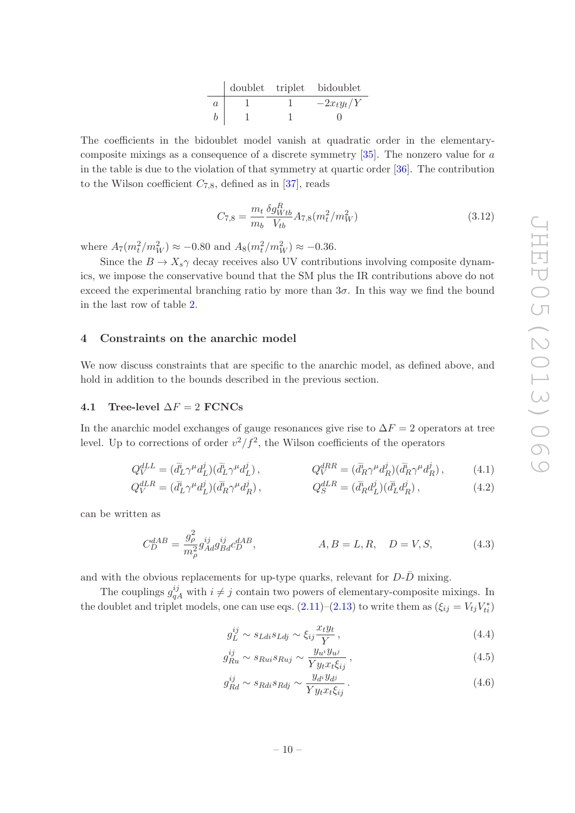|         |  | doublet triplet bidoublet |
|---------|--|---------------------------|
| $\it a$ |  | $-2x_ty_t/Y$              |
|         |  |                           |

The coefficients in the bidoublet model vanish at quadratic order in the elementarycomposite mixings as a consequence of a discrete symmetry  $[35]$ . The nonzero value for a in the table is due to the violation of that symmetry at quartic order [\[36](#page-29-6)]. The contribution to the Wilson coefficient  $C_{7,8}$ , defined as in [\[37\]](#page-29-7), reads

$$
C_{7,8} = \frac{m_t}{m_b} \frac{\delta g_{Wtb}^R}{V_{tb}} A_{7,8}(m_t^2/m_W^2)
$$
\n(3.12)

where  $A_7(m_t^2/m_W^2) \approx -0.80$  and  $A_8(m_t^2/m_W^2) \approx -0.36$ .

Since the  $B \to X_s \gamma$  decay receives also UV contributions involving composite dynamics, we impose the conservative bound that the SM plus the IR contributions above do not exceed the experimental branching ratio by more than  $3\sigma$ . In this way we find the bound in the last row of table [2.](#page-8-3)

#### <span id="page-10-0"></span>4 Constraints on the anarchic model

We now discuss constraints that are specific to the anarchic model, as defined above, and hold in addition to the bounds described in the previous section.

# <span id="page-10-1"></span>4.1 Tree-level  $\Delta F = 2$  FCNCs

In the anarchic model exchanges of gauge resonances give rise to  $\Delta F = 2$  operators at tree level. Up to corrections of order  $v^2/f^2$ , the Wilson coefficients of the operators

$$
Q_V^{dLL} = (\bar{d}_L^i \gamma^\mu d_L^j)(\bar{d}_L^i \gamma^\mu d_L^j), \qquad Q_V^{dRR} = (\bar{d}_R^i \gamma^\mu d_R^j)(\bar{d}_R^i \gamma^\mu d_R^j), \qquad (4.1)
$$

$$
Q_V^{dLR} = (\bar{d}_L^i \gamma^\mu d_L^j)(\bar{d}_R^i \gamma^\mu d_R^j) , \qquad Q_S^{dLR} = (\bar{d}_R^i d_L^j)(\bar{d}_L^i d_R^j) , \qquad (4.2)
$$

can be written as

$$
C_D^{dAB} = \frac{g_{\rho}^2}{m_{\rho}^2} g_{Ad}^{ij} g_{Bd}^{ij} c_D^{dAB}, \qquad A, B = L, R, \quad D = V, S,
$$
 (4.3)

and with the obvious replacements for up-type quarks, relevant for  $D-\overline{D}$  mixing.

The couplings  $g_{qA}^{ij}$  with  $i \neq j$  contain two powers of elementary-composite mixings. In the doublet and triplet models, one can use eqs.  $(2.11)$ – $(2.13)$  to write them as  $(\xi_{ij} = V_{tj}V_{ti}^*)$ 

<span id="page-10-2"></span>
$$
g_L^{ij} \sim s_{Ldi}s_{Ldj} \sim \xi_{ij}\frac{x_t y_t}{Y},\tag{4.4}
$$

$$
g_{Ru}^{ij} \sim s_{Rui}s_{Ruj} \sim \frac{y_{u^i}y_{u^j}}{Yy_tx_t\xi_{ij}},
$$
\n(4.5)

$$
g_{Rd}^{ij} \sim s_{Rdi}s_{Rdj} \sim \frac{y_{d^i}y_{d^j}}{Y y_t x_t \xi_{ij}}.
$$
\n(4.6)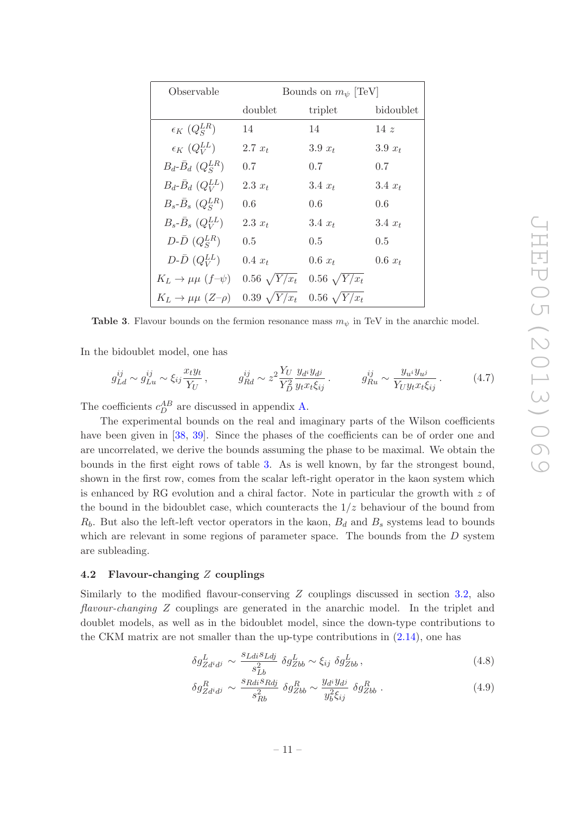| Observable                             | Bounds on $m_{\psi}$ [TeV] |                     |           |
|----------------------------------------|----------------------------|---------------------|-----------|
|                                        | doublet                    | triplet             | bidoublet |
| $\epsilon_K$ $(Q_S^{LR})$              | 14                         | 14                  | 14z       |
| $\epsilon_K$ ( $Q_V^{LL}$ )            | 2.7 $x_t$                  | $3.9 x_t$           | 3.9 $x_t$ |
| $B_d$ - $\bar{B}_d$ $(Q_S^{LR})$       | 0.7                        | 0.7                 | 0.7       |
| $B_d$ - $\bar{B}_d$ $(Q_V^{LL})$       | $2.3 x_t$                  | $3.4 x_t$           | $3.4 x_t$ |
| $B_s$ - $\bar{B}_s$ $(Q_s^{LR})$       | 0.6                        | 0.6                 | 0.6       |
| $B_s$ - $\bar{B}_s$ $(Q_V^{LL})$       | $2.3 x_t$                  | $3.4 x_t$           | $3.4 x_t$ |
| $D\text{-}\bar{D}$ $(Q_S^{LR})$        | 0.5                        | $0.5 -$             | 0.5       |
| $D\text{-}\bar{D}$ $(Q_V^{LL})$        | $0.4~x_t$                  | $0.6 x_t$           | $0.6 x_t$ |
| $K_L \rightarrow \mu \mu$ (f- $\psi$ ) | $0.56\sqrt{Y/x_t}$         | $0.56 \sqrt{Y/x_t}$ |           |
| $K_L \rightarrow \mu \mu (Z - \rho)$   | $0.39 \sqrt{Y/x_t}$        | $0.56 \sqrt{Y/x_t}$ |           |

<span id="page-11-1"></span>**Table 3.** Flavour bounds on the fermion resonance mass  $m_{\psi}$  in TeV in the anarchic model.

In the bidoublet model, one has

$$
g_{Ld}^{ij} \sim g_{Lu}^{ij} \sim \xi_{ij} \frac{x_t y_t}{Y_U} , \qquad g_{Rd}^{ij} \sim z^2 \frac{Y_U}{Y_D^2} \frac{y_{d^i} y_{d^j}}{y_t x_t \xi_{ij}} , \qquad g_{Ru}^{ij} \sim \frac{y_{u^i} y_{u^j}}{Y_U y_t x_t \xi_{ij}} . \qquad (4.7)
$$

The coefficients  $c_D^{AB}$  are discussed in appendix [A.](#page-21-0)

The experimental bounds on the real and imaginary parts of the Wilson coefficients have been given in [\[38,](#page-29-8) [39](#page-29-9)]. Since the phases of the coefficients can be of order one and are uncorrelated, we derive the bounds assuming the phase to be maximal. We obtain the bounds in the first eight rows of table [3.](#page-11-1) As is well known, by far the strongest bound, shown in the first row, comes from the scalar left-right operator in the kaon system which is enhanced by RG evolution and a chiral factor. Note in particular the growth with  $z$  of the bound in the bidoublet case, which counteracts the  $1/z$  behaviour of the bound from  $R_b$ . But also the left-left vector operators in the kaon,  $B_d$  and  $B_s$  systems lead to bounds which are relevant in some regions of parameter space. The bounds from the  $D$  system are subleading.

# <span id="page-11-0"></span>4.2 Flavour-changing Z couplings

Similarly to the modified flavour-conserving Z couplings discussed in section [3.2,](#page-8-0) also flavour-changing Z couplings are generated in the anarchic model. In the triplet and doublet models, as well as in the bidoublet model, since the down-type contributions to the CKM matrix are not smaller than the up-type contributions in [\(2.14\)](#page-5-4), one has

<span id="page-11-2"></span>
$$
\delta g_{Zd^i d^j}^L \sim \frac{s_{Ldi}s_{Ldj}}{s_{Lb}^2} \delta g_{Zbb}^L \sim \xi_{ij} \delta g_{Zbb}^L, \qquad (4.8)
$$

$$
\delta g_{Zd^i d^j}^R \sim \frac{s_{Rdi}s_{Rdj}}{s_{Rb}^2} \delta g_{Zbb}^R \sim \frac{y_{d^i} y_{d^j}}{y_b^2 \xi_{ij}} \delta g_{Zbb}^R \tag{4.9}
$$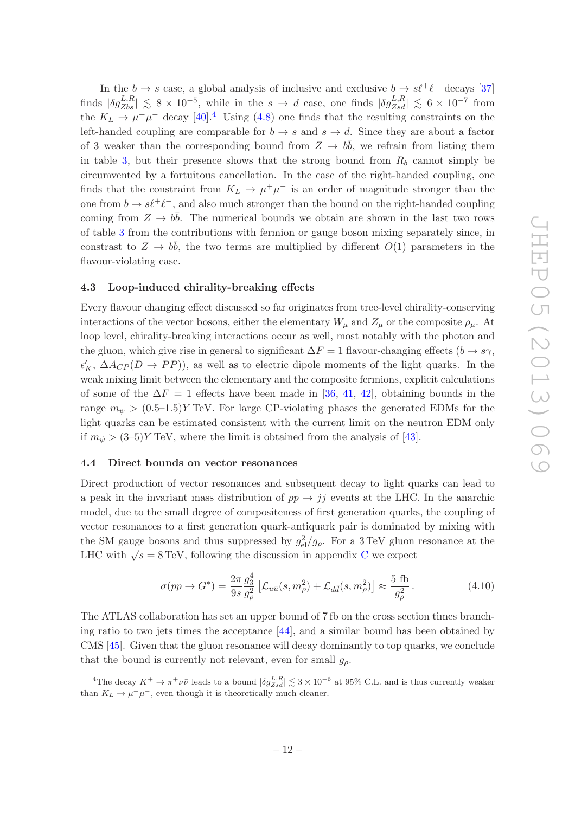In the  $b \to s$  case, a global analysis of inclusive and exclusive  $b \to s\ell^+\ell^-$  decays [\[37\]](#page-29-7) finds  $|\delta g_{Zbs}^{L,R}| \lesssim 8 \times 10^{-5}$ , while in the  $s \to d$  case, one finds  $|\delta g_{Zsd}^{L,R}| \lesssim 6 \times 10^{-7}$  from the  $K_L \rightarrow \mu^+ \mu^-$  decay [\[40](#page-29-10)].<sup>[4](#page-12-2)</sup> Using [\(4.8\)](#page-11-2) one finds that the resulting constraints on the left-handed coupling are comparable for  $b \to s$  and  $s \to d$ . Since they are about a factor of 3 weaker than the corresponding bound from  $Z \to b\bar{b}$ , we refrain from listing them in table [3,](#page-11-1) but their presence shows that the strong bound from  $R_b$  cannot simply be circumvented by a fortuitous cancellation. In the case of the right-handed coupling, one finds that the constraint from  $K_L \to \mu^+ \mu^-$  is an order of magnitude stronger than the one from  $b \to s\ell^+\ell^-$ , and also much stronger than the bound on the right-handed coupling coming from  $Z \to b\bar{b}$ . The numerical bounds we obtain are shown in the last two rows of table [3](#page-11-1) from the contributions with fermion or gauge boson mixing separately since, in constrast to  $Z \to b\bar{b}$ , the two terms are multiplied by different  $O(1)$  parameters in the flavour-violating case.

#### <span id="page-12-0"></span>4.3 Loop-induced chirality-breaking effects

Every flavour changing effect discussed so far originates from tree-level chirality-conserving interactions of the vector bosons, either the elementary  $W_{\mu}$  and  $Z_{\mu}$  or the composite  $\rho_{\mu}$ . At loop level, chirality-breaking interactions occur as well, most notably with the photon and the gluon, which give rise in general to significant  $\Delta F = 1$  flavour-changing effects  $(b \rightarrow s\gamma,$  $\epsilon'_K$ ,  $\Delta A_{CP}(D \to PP)$ ), as well as to electric dipole moments of the light quarks. In the weak mixing limit between the elementary and the composite fermions, explicit calculations of some of the  $\Delta F = 1$  effects have been made in [\[36](#page-29-6), [41,](#page-29-11) [42](#page-29-12)], obtaining bounds in the range  $m_{\psi} > (0.5-1.5)$  TeV. For large CP-violating phases the generated EDMs for the light quarks can be estimated consistent with the current limit on the neutron EDM only if  $m_{\psi} > (3-5)Y$  TeV, where the limit is obtained from the analysis of [\[43](#page-29-13)].

#### <span id="page-12-1"></span>4.4 Direct bounds on vector resonances

Direct production of vector resonances and subsequent decay to light quarks can lead to a peak in the invariant mass distribution of  $pp \rightarrow jj$  events at the LHC. In the anarchic model, due to the small degree of compositeness of first generation quarks, the coupling of vector resonances to a first generation quark-antiquark pair is dominated by mixing with the SM gauge bosons and thus suppressed by  $g_{el}^2/g_\rho$ . For a 3 TeV gluon resonance at the LH[C](#page-23-0) with  $\sqrt{s} = 8 \text{ TeV}$ , following the discussion in appendix C we expect

$$
\sigma(pp \to G^*) = \frac{2\pi}{9s} \frac{g_3^4}{g_\rho^2} \left[ \mathcal{L}_{u\bar{u}}(s, m_\rho^2) + \mathcal{L}_{d\bar{d}}(s, m_\rho^2) \right] \approx \frac{5 \text{ fb}}{g_\rho^2} \,. \tag{4.10}
$$

The ATLAS collaboration has set an upper bound of 7 fb on the cross section times branching ratio to two jets times the acceptance [\[44\]](#page-29-14), and a similar bound has been obtained by CMS [\[45\]](#page-29-15). Given that the gluon resonance will decay dominantly to top quarks, we conclude that the bound is currently not relevant, even for small  $q_o$ .

<span id="page-12-2"></span><sup>&</sup>lt;sup>4</sup>The decay  $K^+ \to \pi^+ \nu \bar{\nu}$  leads to a bound  $|\delta g_{Zsd}^{L,R}| \lesssim 3 \times 10^{-6}$  at 95% C.L. and is thus currently weaker than  $K_L \to \mu^+ \mu^-$ , even though it is theoretically much cleaner.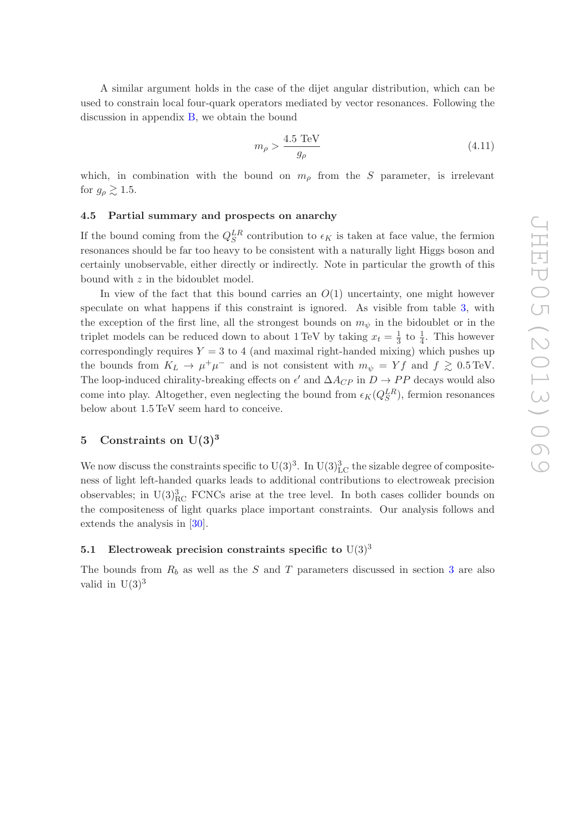A similar argument holds in the case of the dijet angular distribution, which can be used to constrain local four-quark operators mediated by vector resonances. Following the discussion in appendix [B,](#page-22-0) we obtain the bound

$$
m_{\rho} > \frac{4.5 \text{ TeV}}{g_{\rho}} \tag{4.11}
$$

which, in combination with the bound on  $m<sub>o</sub>$  from the S parameter, is irrelevant for  $g_{\rho} \gtrsim 1.5$ .

# <span id="page-13-0"></span>4.5 Partial summary and prospects on anarchy

If the bound coming from the  $Q_S^{LR}$  contribution to  $\epsilon_K$  is taken at face value, the fermion resonances should be far too heavy to be consistent with a naturally light Higgs boson and certainly unobservable, either directly or indirectly. Note in particular the growth of this bound with  $z$  in the bidoublet model.

In view of the fact that this bound carries an  $O(1)$  uncertainty, one might however speculate on what happens if this constraint is ignored. As visible from table [3,](#page-11-1) with the exception of the first line, all the strongest bounds on  $m_{\psi}$  in the bidoublet or in the triplet models can be reduced down to about 1 TeV by taking  $x_t = \frac{1}{3}$  $\frac{1}{3}$  to  $\frac{1}{4}$ . This however correspondingly requires  $Y = 3$  to 4 (and maximal right-handed mixing) which pushes up the bounds from  $K_L \to \mu^+\mu^-$  and is not consistent with  $m_{\psi} = Yf$  and  $f \gtrsim 0.5 \text{ TeV}$ . The loop-induced chirality-breaking effects on  $\epsilon'$  and  $\Delta A_{CP}$  in  $D \to PP$  decays would also come into play. Altogether, even neglecting the bound from  $\epsilon_K(Q_S^{LR})$ , fermion resonances below about 1.5 TeV seem hard to conceive. L below about 1.5 TeV seem hard to conceive.

# <span id="page-13-1"></span>5 Constraints on  $U(3)^3$

We now discuss the constraints specific to  $U(3)^3$ . In  $U(3)^3_{LC}$  the sizable degree of compositeness of light left-handed quarks leads to additional contributions to electroweak precision observables; in  $U(3)_{\text{RC}}^3$  FCNCs arise at the tree level. In both cases collider bounds on the compositeness of light quarks place important constraints. Our analysis follows and extends the analysis in [\[30\]](#page-29-0).

# <span id="page-13-2"></span>5.1 Electroweak precision constraints specific to  $U(3)^3$

The bounds from  $R_b$  as well as the S and T parameters discussed in section [3](#page-7-0) are also valid in  ${}^{3}U(3)$ <sup>3</sup> valid  $\mathrm{in}^3\mathrm{U}(3)^3$ 

4

h

proport**i**onal to

 $\it utyquas$  and the contract of the contract of the contract of the contract of the contract of the contract of the contract of the contract of the contract of the contract of the contract of the contract of the contract of  $uty quas$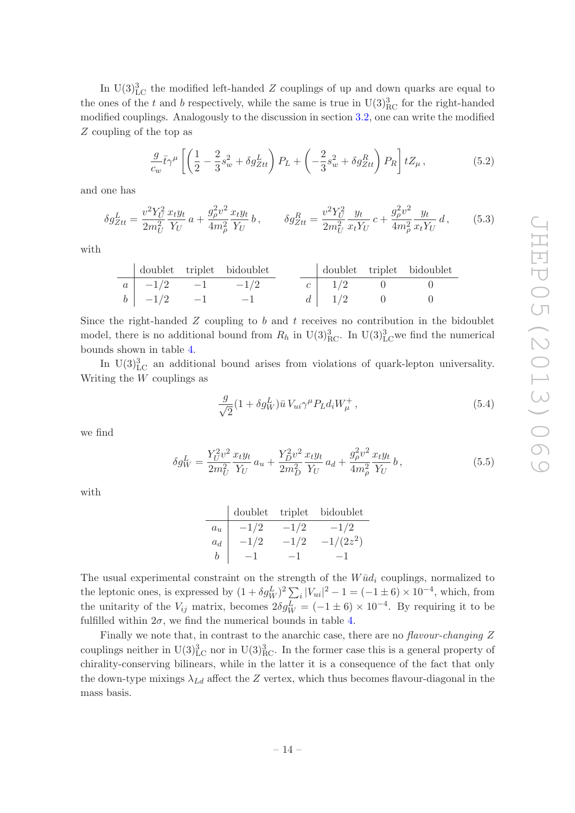In U(3)<sup>3</sup><sub>LC</sub> the modified left-handed  $Z$  couplings of up and down quarks are equal to the ones of the t and b respectively, while the same is true in  $\rm U(3)_{RC}^3$  for the right-handed modified couplings. Analogously to the discussion in section [3.2,](#page-8-0) one can write the modified Z coupling of the top as

$$
\frac{g}{c_w}\bar{t}\gamma^{\mu}\left[\left(\frac{1}{2}-\frac{2}{3}s_w^2+\delta g_{Ztt}^L\right)P_L+\left(-\frac{2}{3}s_w^2+\delta g_{Ztt}^R\right)P_R\right]tZ_{\mu},\tag{5.2}
$$

and one has

$$
\delta g_{Ztt}^L = \frac{v^2 Y_U^2}{2m_U^2} \frac{x_t y_t}{Y_U} a + \frac{g_\rho^2 v^2}{4m_\rho^2} \frac{x_t y_t}{Y_U} b, \qquad \delta g_{Ztt}^R = \frac{v^2 Y_U^2}{2m_U^2} \frac{y_t}{x_t Y_U} c + \frac{g_\rho^2 v^2}{4m_\rho^2} \frac{y_t}{x_t Y_U} d, \qquad (5.3)
$$

with

|                                 | doublet triplet bidoublet |  |              | doublet triplet bidoublet |
|---------------------------------|---------------------------|--|--------------|---------------------------|
| $a \mid -1/2 \mid -1 \mid -1/2$ |                           |  | $c \mid 1/2$ |                           |
| $b \mid -1/2 \mid -1$           | $-1$                      |  | $d \mid 1/2$ |                           |

Since the right-handed  $Z$  coupling to  $b$  and  $t$  receives no contribution in the bidoublet model, there is no additional bound from  $R_h$  in U(3)<sup>3</sup><sub>RC</sub>. In U(3)<sup>3</sup><sub>LC</sub>we find the numerical bounds shown in table [4.](#page-15-2)

In  $U(3)_{LC}^3$  an additional bound arises from violations of quark-lepton universality. Writing the  $W$  couplings as

$$
\frac{g}{\sqrt{2}}(1+\delta g_W^L)\bar{u}V_{ui}\gamma^\mu P_L d_i W^+_\mu, \qquad (5.4)
$$

we find

$$
\delta g_W^L = \frac{Y_U^2 v^2}{2m_U^2} \frac{x_t y_t}{Y_U} a_u + \frac{Y_D^2 v^2}{2m_D^2} \frac{x_t y_t}{Y_U} a_d + \frac{g_\rho^2 v^2}{4m_\rho^2} \frac{x_t y_t}{Y_U} b, \qquad (5.5)
$$

with

|       | doublet | triplet | bidoublet   |
|-------|---------|---------|-------------|
| $a_u$ | $-1/2$  | $-1/2$  | $-1/2$      |
| $a_d$ | $-1/2$  | $-1/2$  | $-1/(2z^2)$ |
| b     | — I     | -1      |             |

The usual experimental constraint on the strength of the  $W\bar{u}d_i$  couplings, normalized to the leptonic ones, is expressed by  $(1 + \delta g_W^L)^2 \sum_i |V_{ui}|^2 - 1 = (-1 \pm 6) \times 10^{-4}$ , which, from the unitarity of the  $V_{ij}$  matrix, becomes  $2\delta g_W^L = (-1 \pm 6) \times 10^{-4}$ . By requiring it to be fulfilled within  $2\sigma$ , we find the numerical bounds in table [4.](#page-15-2)

Finally we note that, in contrast to the anarchic case, there are no flavour-changing Z couplings neither in  $U(3)_{\text{LC}}^3$  nor in  $U(3)_{\text{RC}}^3$ . In the former case this is a general property of chirality-conserving bilinears, while in the latter it is a consequence of the fact that only the down-type mixings  $\lambda_{Ld}$  affect the Z vertex, which thus becomes flavour-diagonal in the mass basis.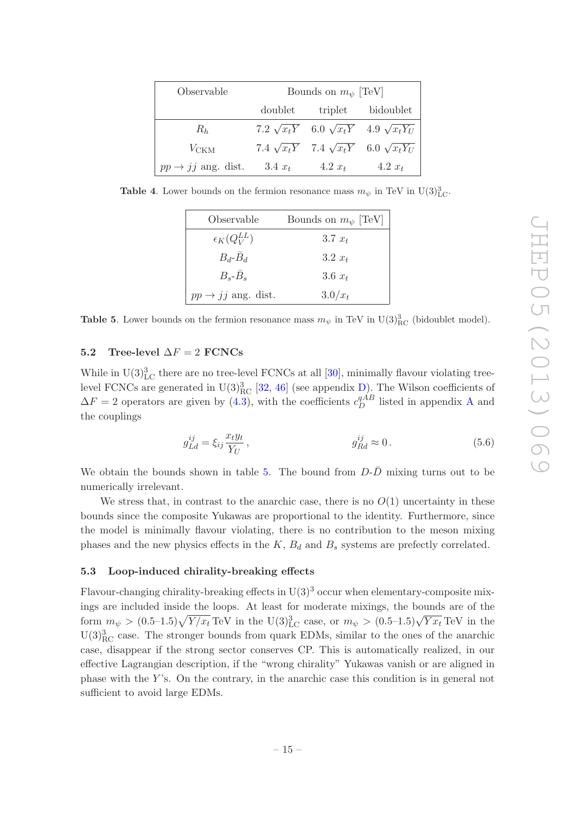| Observable                     | Bounds on $m_{\psi}$ [TeV] |           |                                                            |  |
|--------------------------------|----------------------------|-----------|------------------------------------------------------------|--|
|                                | doublet                    | triplet   | bidoublet                                                  |  |
| $R_h$                          |                            |           | 7.2 $\sqrt{x_t Y}$ 6.0 $\sqrt{x_t Y}$ 4.9 $\sqrt{x_t Y_U}$ |  |
| $V_{\text{CKM}}$               |                            |           | 7.4 $\sqrt{x_t Y}$ 7.4 $\sqrt{x_t Y}$ 6.0 $\sqrt{x_t Y_U}$ |  |
| $pp \rightarrow jj$ ang. dist. | $3.4 x_t$                  | $4.2 x_t$ | $4.2 x_t$                                                  |  |

**Table 4.** Lower bounds on the fermion resonance mass  $m_{\psi}$  in TeV in U(3)<sup>3</sup><sub>LC</sub>.

<span id="page-15-2"></span>

| Observable                     | Bounds on $m_{\psi}$ [TeV] |
|--------------------------------|----------------------------|
| $\epsilon_K(Q_V^{LL})$         | $3.7 x_t$                  |
| $B_d$ - $B_d$                  | $3.2 x_t$                  |
| $B_s - B_s$                    | 3.6 $x_t$                  |
| $pp \rightarrow jj$ ang. dist. | $3.0/x_t$                  |

<span id="page-15-3"></span>**Table 5.** Lower bounds on the fermion resonance mass  $m_{\psi}$  in TeV in U(3)<sup>3</sup><sub>RC</sub> (bidoublet model).

# <span id="page-15-0"></span>5.2 Tree-level  $\Delta F = 2$  FCNCs

While in  $U(3)_{\text{LC}}^3$  there are no tree-level FCNCs at all [\[30\]](#page-29-0), minimally flavour violating treelevel FCNCs are generated in  $U(3)_{\text{RC}}^3$  [\[32](#page-29-2), [46\]](#page-29-16) (see appendix [D\)](#page-24-0). The Wilson coefficients of  $\Delta F = 2$  operators are given by [\(4.3\)](#page-10-2), with the coefficients  $c_D^{qAB}$  $c_D^{qAB}$  $c_D^{qAB}$  listed in appendix A and the couplings

<span id="page-15-4"></span>
$$
g_{Ld}^{ij} = \xi_{ij} \frac{x_t y_t}{Y_U}, \qquad g_{Rd}^{ij} \approx 0. \qquad (5.6)
$$

We obtain the bounds shown in table [5.](#page-15-3) The bound from  $D-\bar{D}$  mixing turns out to be numerically irrelevant.

We stress that, in contrast to the anarchic case, there is no  $O(1)$  uncertainty in these bounds since the composite Yukawas are proportional to the identity. Furthermore, since the model is minimally flavour violating, there is no contribution to the meson mixing phases and the new physics effects in the  $K$ ,  $B_d$  and  $B_s$  systems are prefectly correlated.

#### <span id="page-15-1"></span>5.3 Loop-induced chirality-breaking effects

Flavour-changing chirality-breaking effects in  $U(3)^3$  occur when elementary-composite mixings are included inside the loops. At least for moderate mixings, the bounds are of the form  $m_{\psi} > (0.5-1.5)\sqrt{Y/x_t}$  TeV in the U(3)<sup>3</sup><sub>LC</sub> case, or  $m_{\psi} > (0.5-1.5)\sqrt{Yx_t}$  TeV in the  $U(3)_{\text{RC}}^3$  case. The stronger bounds from quark EDMs, similar to the ones of the anarchic case, disappear if the strong sector conserves CP. This is automatically realized, in our effective Lagrangian description, if the "wrong chirality" Yukawas vanish or are aligned in phase with the Y's. On the contrary, in the anarchic case this condition is in general not sufficient to avoid large EDMs.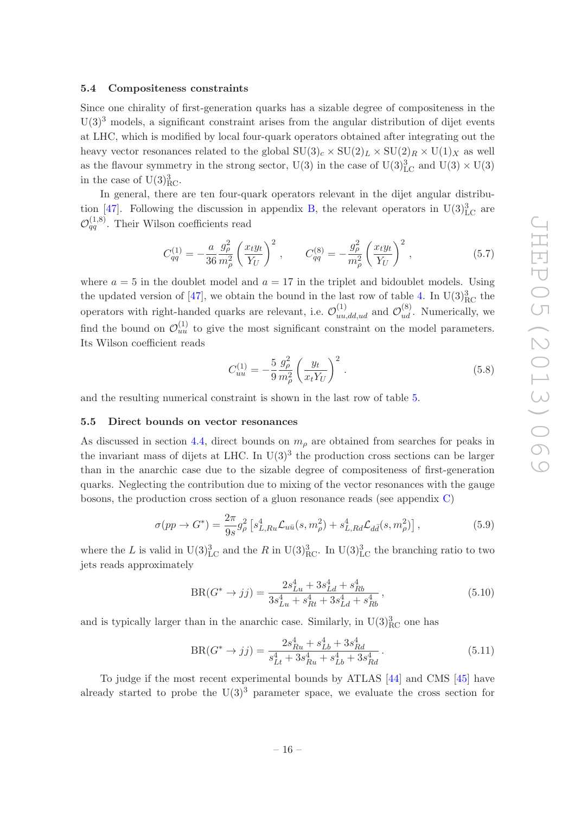## <span id="page-16-0"></span>5.4 Compositeness constraints

Since one chirality of first-generation quarks has a sizable degree of compositeness in the  $U(3)<sup>3</sup>$  models, a significant constraint arises from the angular distribution of dijet events at LHC, which is modified by local four-quark operators obtained after integrating out the heavy vector resonances related to the global  $SU(3)_c \times SU(2)_L \times SU(2)_R \times U(1)_X$  as well as the flavour symmetry in the strong sector, U(3) in the case of U(3) ${}^{3}_{\text{LC}}$  and U(3)  $\times$  U(3) in the case of  $U(3)_{\text{RC}}^3$ .

In general, there are ten four-quark operators relevant in the dijet angular distribu-tion [\[47\]](#page-29-17). Following the discussion in appendix [B,](#page-22-0) the relevant operators in  $U(3)_{LC}^3$  are  $\mathcal{O}_{qq}^{(1,8)}$ . Their Wilson coefficients read

$$
C_{qq}^{(1)} = -\frac{a}{36} \frac{g_{\rho}^2}{m_{\rho}^2} \left(\frac{x_t y_t}{Y_U}\right)^2, \qquad C_{qq}^{(8)} = -\frac{g_{\rho}^2}{m_{\rho}^2} \left(\frac{x_t y_t}{Y_U}\right)^2, \tag{5.7}
$$

where  $a = 5$  in the doublet model and  $a = 17$  in the triplet and bidoublet models. Using the updated version of [\[47\]](#page-29-17), we obtain the bound in the last row of table [4.](#page-15-2) In  $\rm U(3)_{RC}^3$  the operators with right-handed quarks are relevant, i.e.  $\mathcal{O}_{uu,dd,ud}^{(1)}$  and  $\mathcal{O}_{ud}^{(8)}$ . Numerically, we find the bound on  $\mathcal{O}_{uu}^{(1)}$  to give the most significant constraint on the model parameters. Its Wilson coefficient reads

$$
C_{uu}^{(1)} = -\frac{5}{9} \frac{g_{\rho}^{2}}{m_{\rho}^{2}} \left(\frac{y_t}{x_t Y_U}\right)^2.
$$
 (5.8)

<span id="page-16-1"></span>and the resulting numerical constraint is shown in the last row of table [5.](#page-15-3)

#### 5.5 Direct bounds on vector resonances

As discussed in section [4.4,](#page-12-1) direct bounds on  $m<sub>\rho</sub>$  are obtained from searches for peaks in the invariant mass of dijets at LHC. In  $U(3)^3$  the production cross sections can be larger than in the anarchic case due to the sizable degree of compositeness of first-generation quarks. Neglecting the contribution due to mixing of the vector resonances with the gauge bosons, the production cross section of a gluon resonance reads (see appendix [C\)](#page-23-0)

$$
\sigma(pp \to G^*) = \frac{2\pi}{9s} g_\rho^2 \left[ s_{L,Ru}^4 \mathcal{L}_{u\bar{u}}(s, m_\rho^2) + s_{L,Rd}^4 \mathcal{L}_{d\bar{d}}(s, m_\rho^2) \right],\tag{5.9}
$$

where the L is valid in  $U(3)_{\text{LC}}^3$  and the R in  $U(3)_{\text{RC}}^3$ . In  $U(3)_{\text{LC}}^3$  the branching ratio to two jets reads approximately

$$
BR(G^* \to jj) = \frac{2s_{Lu}^4 + 3s_{Ld}^4 + s_{Rb}^4}{3s_{Lu}^4 + s_{Rt}^4 + 3s_{Ld}^4 + s_{Rb}^4},
$$
\n(5.10)

and is typically larger than in the anarchic case. Similarly, in  $U(3)_{\text{RC}}^3$  one has

$$
BR(G^* \to jj) = \frac{2s_{Ru}^4 + s_{Lb}^4 + 3s_{Rd}^4}{s_{Lt}^4 + 3s_{Ru}^4 + s_{Lb}^4 + 3s_{Rd}^4}.
$$
\n(5.11)

To judge if the most recent experimental bounds by ATLAS [\[44\]](#page-29-14) and CMS [\[45](#page-29-15)] have already started to probe the  $U(3)^3$  parameter space, we evaluate the cross section for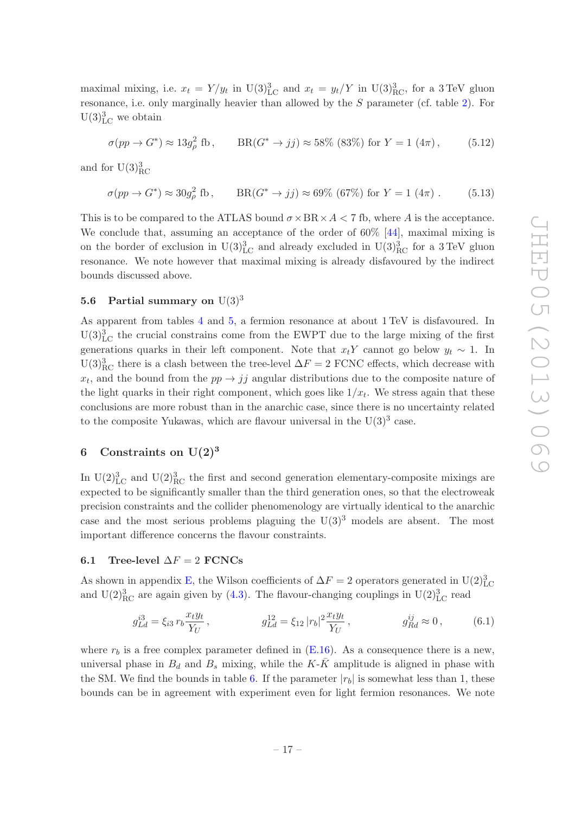maximal mixing, i.e.  $x_t = Y/y_t$  in U(3)<sup>3</sup><sub>LC</sub> and  $x_t = y_t/Y$  in U(3)<sup>3</sup><sub>RC</sub>, for a 3 TeV gluon resonance, i.e. only marginally heavier than allowed by the S parameter (cf. table [2\)](#page-8-3). For  $U(3)_{\text{LC}}^3$  we obtain

$$
\sigma(pp \to G^*) \approx 13g_\rho^2 \text{ fb}, \qquad \text{BR}(G^* \to jj) \approx 58\% \text{ (83%) for } Y = 1 \text{ (4\pi)}, \tag{5.12}
$$

and for  $\mathrm{U}(3)_{\mathrm{RC}}^3$ 

 $\sigma(pp\to G^*)\approx 30 g_\rho^2$ fb,  $BR(G^* \to jj) \approx 69\% (67\%)$  for  $Y = 1 (4\pi)$ . (5.13)

This is to be compared to the ATLAS bound  $\sigma \times BR \times A < 7$  fb, where A is the acceptance. We conclude that, assuming an acceptance of the order of  $60\%$  [\[44](#page-29-14)], maximal mixing is on the border of exclusion in  $U(3)_{LC}^3$  and already excluded in  $U(3)_{RC}^3$  for a 3 TeV gluon resonance. We note however that maximal mixing is already disfavoured by the indirect bounds discussed above.

# <span id="page-17-0"></span>5.6 Partial summary on  $U(3)^3$

As apparent from tables [4](#page-15-2) and [5,](#page-15-3) a fermion resonance at about 1 TeV is disfavoured. In  $U(3)_{LC}^3$  the crucial constrains come from the EWPT due to the large mixing of the first generations quarks in their left component. Note that  $x_tY$  cannot go below  $y_t \sim 1$ . In  $U(3)_{\text{RC}}^3$  there is a clash between the tree-level  $\Delta F = 2$  FCNC effects, which decrease with  $x_t$ , and the bound from the  $pp \rightarrow jj$  angular distributions due to the composite nature of the light quarks in their right component, which goes like  $1/x_t$ . We stress again that these conclusions are more robust than in the anarchic case, since there is no uncertainty related to the composite Yukawas, which are flavour universal in the  $U(3)^3$  case.

# <span id="page-17-1"></span>6 Constraints on  $U(2)^3$

In  $U(2)_{\text{LC}}^3$  and  $U(2)_{\text{RC}}^3$  the first and second generation elementary-composite mixings are expected to be significantly smaller than the third generation ones, so that the electroweak precision constraints and the collider phenomenology are virtually identical to the anarchic case and the most serious problems plaguing the  $U(3)<sup>3</sup>$  models are absent. The most important difference concerns the flavour constraints.

# <span id="page-17-2"></span>6.1 Tree-level  $\Delta F = 2$  FCNCs

As shown in appendix [E,](#page-24-1) the Wilson coefficients of  $\Delta F = 2$  operators generated in U(2)<sup>3</sup><sub>LC</sub> and U(2)<sup>3</sup><sub>RC</sub> are again given by [\(4.3\)](#page-10-2). The flavour-changing couplings in U(2)<sup>3</sup><sub>LC</sub> read

<span id="page-17-3"></span>
$$
g_{Ld}^{i3} = \xi_{i3} r_b \frac{x_t y_t}{Y_U} , \qquad g_{Ld}^{12} = \xi_{12} |r_b|^2 \frac{x_t y_t}{Y_U} , \qquad g_{Rd}^{ij} \approx 0 , \qquad (6.1)
$$

where  $r_b$  is a free complex parameter defined in  $(E.16)$ . As a consequence there is a new, universal phase in  $B_d$  and  $B_s$  mixing, while the K- $\bar{K}$  amplitude is aligned in phase with the SM. We find the bounds in table [6.](#page-18-2) If the parameter  $|r_b|$  is somewhat less than 1, these bounds can be in agreement with experiment even for light fermion resonances. We note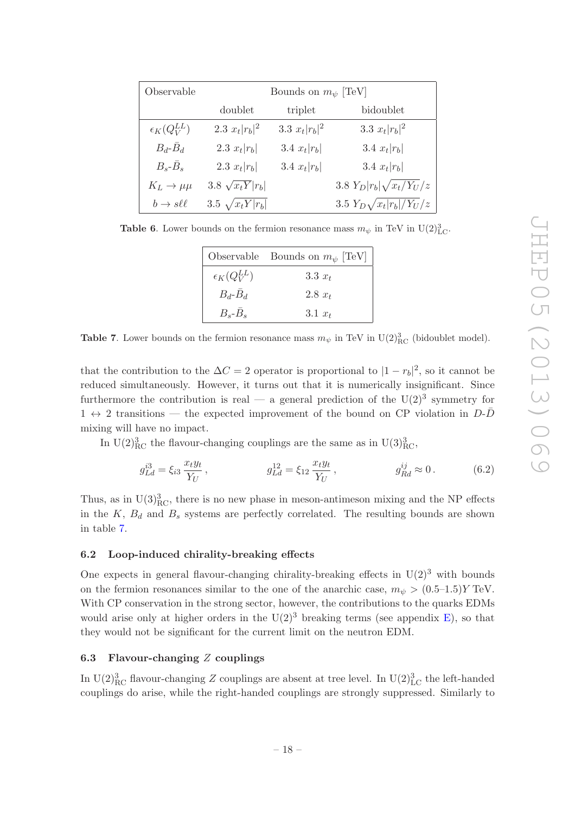| Observable                  | Bounds on $m_{\psi}$ [TeV] |                   |                                  |  |
|-----------------------------|----------------------------|-------------------|----------------------------------|--|
|                             | doublet                    | triplet           | bidoublet                        |  |
| $\epsilon_K(Q_V^{LL})$      | 2.3 $x_t  r_b ^2$          | 3.3 $x_t  r_b ^2$ | 3.3 $x_t  r_b ^2$                |  |
| $B_d$ - $\bar{B}_d$         | 2.3 $x_t  r_b $            | 3.4 $x_t  r_b $   | 3.4 $x_t  r_b $                  |  |
| $B_s - \bar{B}_s$           | 2.3 $x_t  r_b $            | 3.4 $x_t  r_b $   | 3.4 $x_t  r_b $                  |  |
| $K_L \rightarrow \mu\mu$    | 3.8 $\sqrt{x_t Y}  r_b $   |                   | 3.8 $Y_D  r_b  \sqrt{x_t/Y_U/z}$ |  |
| $b \rightarrow s \ell \ell$ | 3.5 $\sqrt{x_t Y  r_b}$    |                   | 3.5 $Y_D\sqrt{x_t r_b /Y_U /z}$  |  |

**Table 6.** Lower bounds on the fermion resonance mass  $m_{\psi}$  in TeV in U(2)<sup>3</sup><sub>LC</sub>.

<span id="page-18-2"></span>

|                        | Observable Bounds on $m_{\psi}$ [TeV] |
|------------------------|---------------------------------------|
| $\epsilon_K(Q_V^{LL})$ | 3.3 $x_t$                             |
| $B_d$ - $B_d$          | $2.8~x_t$                             |
| $B_s - B_s$            | 3.1 $x_t$                             |

<span id="page-18-3"></span>**Table 7.** Lower bounds on the fermion resonance mass  $m_{\psi}$  in TeV in U(2)<sup>3</sup><sub>RC</sub> (bidoublet model).

that the contribution to the  $\Delta C = 2$  operator is proportional to  $|1 - r_b|^2$ , so it cannot be reduced simultaneously. However, it turns out that it is numerically insignificant. Since furthermore the contribution is real — a general prediction of the  $U(2)^3$  symmetry for  $1 \leftrightarrow 2$  transitions — the expected improvement of the bound on CP violation in  $D-\overline{D}$ mixing will have no impact.

In U(2)<sup>3</sup><sub>RC</sub> the flavour-changing couplings are the same as in U(3)<sup>3</sup><sub>RC</sub>,

$$
g_{Ld}^{i3} = \xi_{i3} \frac{x_t y_t}{Y_U}, \qquad g_{Ld}^{12} = \xi_{12} \frac{x_t y_t}{Y_U}, \qquad g_{Rd}^{ij} \approx 0. \qquad (6.2)
$$

Thus, as in  $U(3)_{\text{RC}}^3$ , there is no new phase in meson-antimeson mixing and the NP effects in the  $K, B_d$  and  $B_s$  systems are perfectly correlated. The resulting bounds are shown in table [7.](#page-18-3)

# <span id="page-18-0"></span>6.2 Loop-induced chirality-breaking effects

One expects in general flavour-changing chirality-breaking effects in  $U(2)^3$  with bounds on the fermion resonances similar to the one of the anarchic case,  $m_{\psi} > (0.5-1.5)Y \text{ TeV}$ . With CP conservation in the strong sector, however, the contributions to the quarks EDMs would arise only at higher orders in the  $U(2)^3$  breaking terms (see appendix [E\)](#page-24-1), so that they would not be significant for the current limit on the neutron EDM.

# <span id="page-18-1"></span>6.3 Flavour-changing  $Z$  couplings

In U(2)<sup>3</sup><sub>RC</sub> flavour-changing Z couplings are absent at tree level. In U(2)<sup>3</sup><sub>LC</sub> the left-handed couplings do arise, while the right-handed couplings are strongly suppressed. Similarly to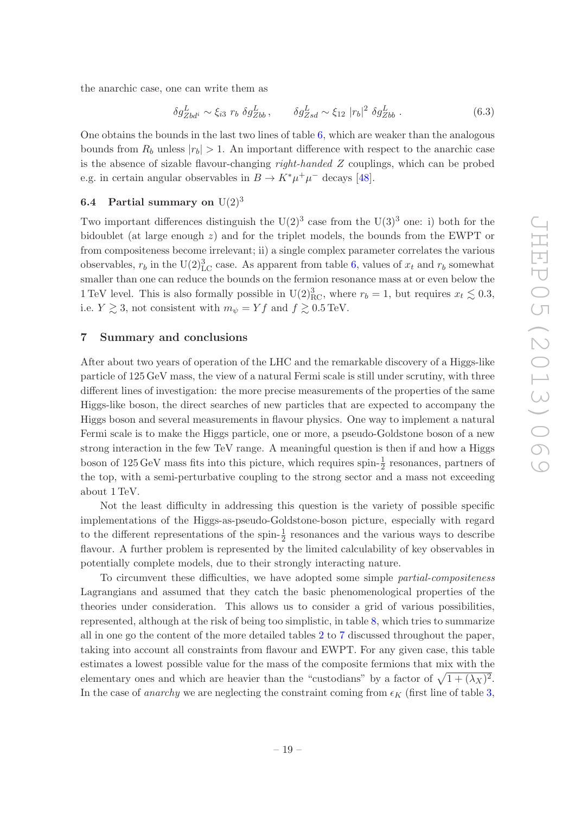the anarchic case, one can write them as

$$
\delta g_{Zb d^i}^L \sim \xi_{i3} \ r_b \ \delta g_{Zb}^L, \qquad \delta g_{Zs d}^L \sim \xi_{12} \ |r_b|^2 \ \delta g_{Zb b}^L \ . \tag{6.3}
$$

One obtains the bounds in the last two lines of table [6,](#page-18-2) which are weaker than the analogous bounds from  $R_b$  unless  $|r_b| > 1$ . An important difference with respect to the anarchic case is the absence of sizable flavour-changing right-handed Z couplings, which can be probed e.g. in certain angular observables in  $B \to K^* \mu^+ \mu^-$  decays [\[48](#page-29-18)].

# <span id="page-19-0"></span>**6.4** Partial summary on  $U(2)^3$

Two important differences distinguish the  $U(2)^3$  case from the  $U(3)^3$  one: i) both for the bidoublet (at large enough  $z$ ) and for the triplet models, the bounds from the EWPT or from compositeness become irrelevant; ii) a single complex parameter correlates the various observables,  $r_b$  in the U(2)<sup>3</sup><sub>LC</sub> case. As apparent from table [6,](#page-18-2) values of  $x_t$  and  $r_b$  somewhat smaller than one can reduce the bounds on the fermion resonance mass at or even below the 1 TeV level. This is also formally possible in U(2)<sup>3</sup><sub>RC</sub>, where  $r_b = 1$ , but requires  $x_t \lesssim 0.3$ , i.e.  $Y \gtrsim 3$ , not consistent with  $m_{\psi} = Y f$  and  $f \gtrsim 0.5 \text{ TeV}$ .

#### <span id="page-19-1"></span>7 Summary and conclusions

After about two years of operation of the LHC and the remarkable discovery of a Higgs-like particle of 125 GeV mass, the view of a natural Fermi scale is still under scrutiny, with three different lines of investigation: the more precise measurements of the properties of the same Higgs-like boson, the direct searches of new particles that are expected to accompany the Higgs boson and several measurements in flavour physics. One way to implement a natural Fermi scale is to make the Higgs particle, one or more, a pseudo-Goldstone boson of a new strong interaction in the few TeV range. A meaningful question is then if and how a Higgs boson of  $125 \,\text{GeV}$  mass fits into this picture, which requires spin- $\frac{1}{2}$  resonances, partners of the top, with a semi-perturbative coupling to the strong sector and a mass not exceeding about 1 TeV.

Not the least difficulty in addressing this question is the variety of possible specific implementations of the Higgs-as-pseudo-Goldstone-boson picture, especially with regard to the different representations of the spin- $\frac{1}{2}$  resonances and the various ways to describe flavour. A further problem is represented by the limited calculability of key observables in potentially complete models, due to their strongly interacting nature.

To circumvent these difficulties, we have adopted some simple partial-compositeness Lagrangians and assumed that they catch the basic phenomenological properties of the theories under consideration. This allows us to consider a grid of various possibilities, represented, although at the risk of being too simplistic, in table [8,](#page-20-0) which tries to summarize all in one go the content of the more detailed tables [2](#page-8-3) to [7](#page-18-3) discussed throughout the paper, taking into account all constraints from flavour and EWPT. For any given case, this table estimates a lowest possible value for the mass of the composite fermions that mix with the elementary ones and which are heavier than the "custodians" by a factor of  $\sqrt{1 + (\lambda_X)^2}$ . In the case of *anarchy* we are neglecting the constraint coming from  $\epsilon_K$  (first line of table [3,](#page-11-1)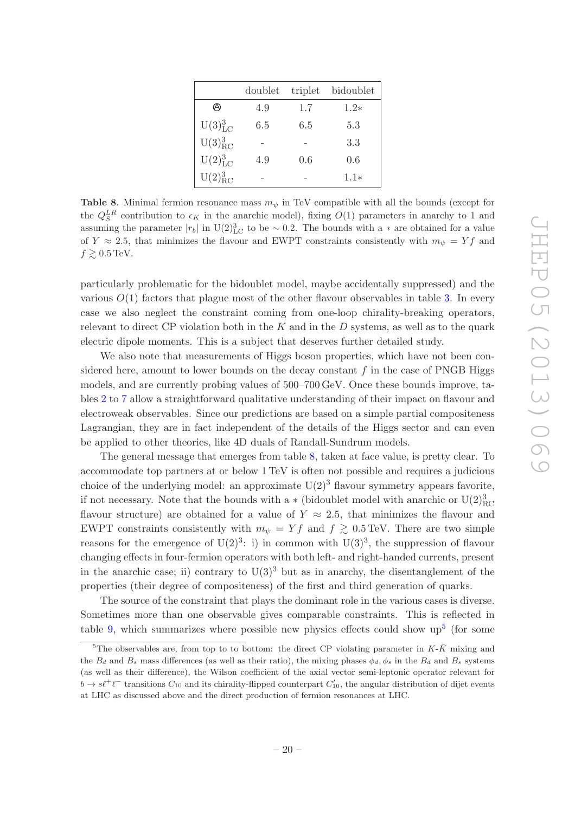|                        | doublet | triplet | bidoublet |
|------------------------|---------|---------|-----------|
| Θ                      | 4.9     | 1.7     | $1.2*$    |
| $U(3)_{\text{LC}}^3$   | 6.5     | 6.5     | 5.3       |
| $U(3)_{RC}^3$          |         |         | 3.3       |
| $U(2)^{3}_{\text{LC}}$ | 4.9     | 0.6     | 0.6       |
| $U(2)_{\rm RC}^{3}$    |         |         | $1.1*$    |

<span id="page-20-0"></span>Table 8. Minimal fermion resonance mass  $m_{\psi}$  in TeV compatible with all the bounds (except for the  $Q_S^{LR}$  contribution to  $\epsilon_K$  in the anarchic model), fixing  $O(1)$  parameters in anarchy to 1 and assuming the parameter  $|r_b|$  in U(2)<sup>3</sup><sub>LC</sub> to be ~ 0.2. The bounds with a  $*$  are obtained for a value of Y  $\approx$  2.5, that minimizes the flavour and EWPT constraints consistently with  $m_{\psi} = Yf$  and  $f \gtrsim 0.5 \,\text{TeV}.$ 

particularly problematic for the bidoublet model, maybe accidentally suppressed) and the various  $O(1)$  factors that plague most of the other flavour observables in table [3.](#page-11-1) In every case we also neglect the constraint coming from one-loop chirality-breaking operators, relevant to direct CP violation both in the  $K$  and in the  $D$  systems, as well as to the quark electric dipole moments. This is a subject that deserves further detailed study.

We also note that measurements of Higgs boson properties, which have not been considered here, amount to lower bounds on the decay constant  $f$  in the case of PNGB Higgs models, and are currently probing values of 500–700 GeV. Once these bounds improve, tables [2](#page-8-3) to [7](#page-18-3) allow a straightforward qualitative understanding of their impact on flavour and electroweak observables. Since our predictions are based on a simple partial compositeness Lagrangian, they are in fact independent of the details of the Higgs sector and can even be applied to other theories, like 4D duals of Randall-Sundrum models.

The general message that emerges from table [8,](#page-20-0) taken at face value, is pretty clear. To accommodate top partners at or below 1 TeV is often not possible and requires a judicious choice of the underlying model: an approximate  $U(2)^3$  flavour symmetry appears favorite, if not necessary. Note that the bounds with a  $*$  (bidoublet model with anarchic or  $\rm U(2)^3_{RC}$ flavour structure) are obtained for a value of  $Y \approx 2.5$ , that minimizes the flavour and EWPT constraints consistently with  $m_{\psi} = Yf$  and  $f \gtrsim 0.5$  TeV. There are two simple reasons for the emergence of  $U(2)^3$ : i) in common with  $U(3)^3$ , the suppression of flavour changing effects in four-fermion operators with both left- and right-handed currents, present in the anarchic case; ii) contrary to  $U(3)^3$  but as in anarchy, the disentanglement of the properties (their degree of compositeness) of the first and third generation of quarks.

The source of the constraint that plays the dominant role in the various cases is diverse. Sometimes more than one observable gives comparable constraints. This is reflected in table [9,](#page-21-1) which summarizes where possible new physics effects could show  $\text{up}^5$  $\text{up}^5$  (for some

<span id="page-20-1"></span><sup>&</sup>lt;sup>5</sup>The observables are, from top to to bottom: the direct CP violating parameter in  $K$ - $\bar{K}$  mixing and the  $B_d$  and  $B_s$  mass differences (as well as their ratio), the mixing phases  $\phi_d$ ,  $\phi_s$  in the  $B_d$  and  $B_s$  systems (as well as their difference), the Wilson coefficient of the axial vector semi-leptonic operator relevant for  $b \to s\ell^+\ell^-$  transitions  $C_{10}$  and its chirality-flipped counterpart  $C'_{10}$ , the angular distribution of dijet events at LHC as discussed above and the direct production of fermion resonances at LHC.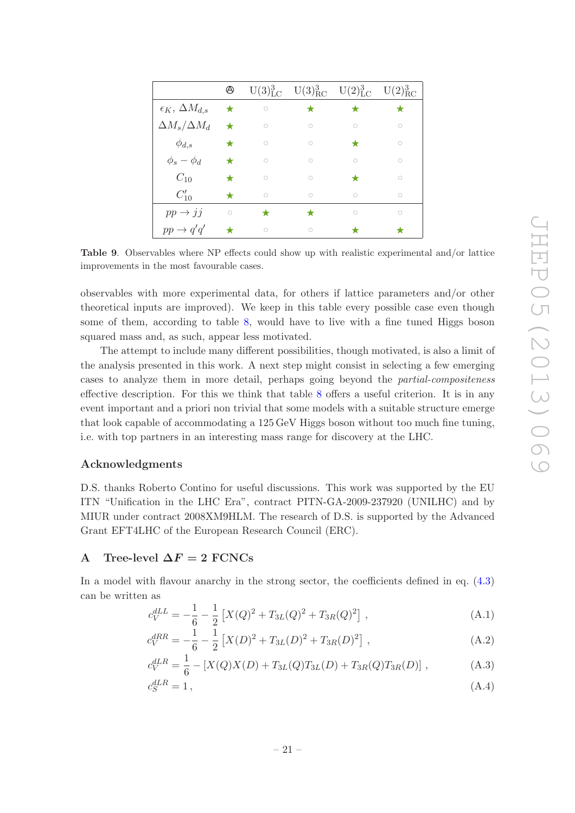|                                 | $\circledcirc$ |           | $U(3)^{3}_{\text{LC}}$ $U(3)^{3}_{\text{RC}}$ $U(2)^{3}_{\text{LC}}$ $U(2)^{3}_{\text{RC}}$ |           |           |
|---------------------------------|----------------|-----------|---------------------------------------------------------------------------------------------|-----------|-----------|
| $\epsilon_K$ , $\Delta M_{d,s}$ | ★              | $\bigcap$ |                                                                                             |           |           |
| $\Delta M_s/\Delta M_d$         | $\star$        | $\bigcap$ | $\bigcap$                                                                                   | $\bigcap$ | $\bigcap$ |
| $\phi_{d,s}$                    |                | $\bigcap$ | $\bigcap$                                                                                   |           | $\bigcap$ |
| $\phi_s - \phi_d$               |                | $\cap$    | $\bigcap$                                                                                   | ∩         | $\bigcap$ |
| $C_{10}$                        |                |           | $\bigcap$                                                                                   |           |           |
| $C'_{10}$                       |                |           |                                                                                             |           |           |
| $pp \rightarrow jj$             | $\bigcirc$     |           |                                                                                             | ∩         | $\bigcap$ |
| $pp \rightarrow q'q'$           |                |           |                                                                                             |           |           |

<span id="page-21-1"></span>Table 9. Observables where NP effects could show up with realistic experimental and/or lattice improvements in the most favourable cases.

observables with more experimental data, for others if lattice parameters and/or other theoretical inputs are improved). We keep in this table every possible case even though some of them, according to table [8,](#page-20-0) would have to live with a fine tuned Higgs boson squared mass and, as such, appear less motivated.

The attempt to include many different possibilities, though motivated, is also a limit of the analysis presented in this work. A next step might consist in selecting a few emerging cases to analyze them in more detail, perhaps going beyond the partial-compositeness effective description. For this we think that table [8](#page-20-0) offers a useful criterion. It is in any event important and a priori non trivial that some models with a suitable structure emerge that look capable of accommodating a 125 GeV Higgs boson without too much fine tuning, i.e. with top partners in an interesting mass range for discovery at the LHC.

# Acknowledgments

D.S. thanks Roberto Contino for useful discussions. This work was supported by the EU ITN "Unification in the LHC Era", contract PITN-GA-2009-237920 (UNILHC) and by MIUR under contract 2008XM9HLM. The research of D.S. is supported by the Advanced Grant EFT4LHC of the European Research Council (ERC).

# <span id="page-21-0"></span>A Tree-level  $\Delta F = 2$  FCNCs

In a model with flavour anarchy in the strong sector, the coefficients defined in eq. [\(4.3\)](#page-10-2) can be written as

$$
c_V^{dLL} = -\frac{1}{6} - \frac{1}{2} \left[ X(Q)^2 + T_{3L}(Q)^2 + T_{3R}(Q)^2 \right], \tag{A.1}
$$

$$
c_V^{dRR} = -\frac{1}{6} - \frac{1}{2} \left[ X(D)^2 + T_{3L}(D)^2 + T_{3R}(D)^2 \right], \tag{A.2}
$$

$$
c_V^{dLR} = \frac{1}{6} - [X(Q)X(D) + T_{3L}(Q)T_{3L}(D) + T_{3R}(Q)T_{3R}(D)],
$$
\n(A.3)

$$
c_S^{dLR} = 1\,,\tag{A.4}
$$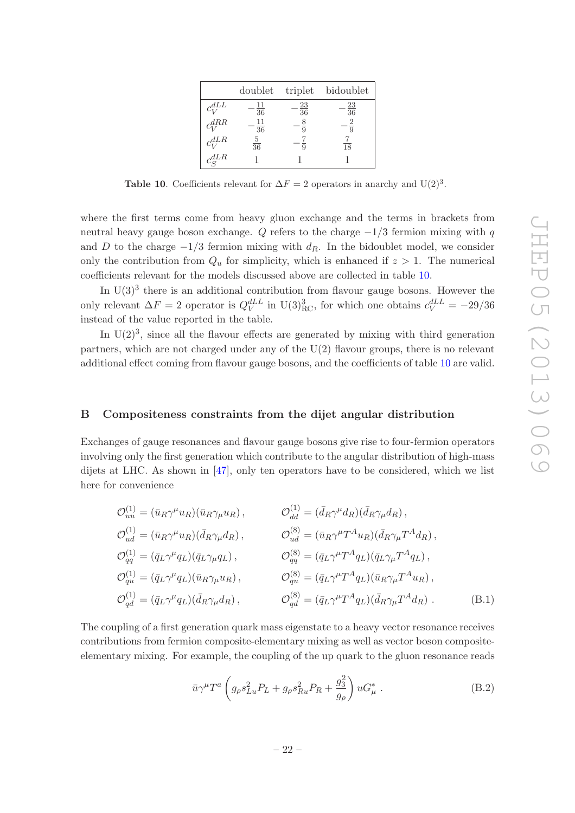|                         |                       |                  | doublet triplet bidoublet |
|-------------------------|-----------------------|------------------|---------------------------|
| $c_V^{dLL}$             | 11<br>$\overline{36}$ | $-\frac{23}{36}$ | $-\frac{23}{36}$          |
| $c_{\rm v}^{dRR}$       | 11<br>$\overline{36}$ |                  |                           |
| $c_{\rm tr}^{dLR}$      | $rac{5}{36}$          |                  | $\overline{18}$           |
| $c_{\mathcal{S}}^{dLR}$ |                       |                  |                           |

<span id="page-22-1"></span>Table 10. Coefficients relevant for  $\Delta F = 2$  operators in anarchy and U(2)<sup>3</sup>.

where the first terms come from heavy gluon exchange and the terms in brackets from neutral heavy gauge boson exchange. Q refers to the charge  $-1/3$  fermion mixing with q and D to the charge  $-1/3$  fermion mixing with  $d_R$ . In the bidoublet model, we consider only the contribution from  $Q_u$  for simplicity, which is enhanced if  $z > 1$ . The numerical coefficients relevant for the models discussed above are collected in table [10.](#page-22-1)

In  $U(3)^3$  there is an additional contribution from flavour gauge bosons. However the only relevant  $\Delta F = 2$  operator is  $Q_V^{dLL}$  in U(3)<sup>3</sup><sub>RC</sub>, for which one obtains  $c_V^{dLL} = -29/36$ instead of the value reported in the table.

In  $U(2)^3$ , since all the flavour effects are generated by mixing with third generation partners, which are not charged under any of the U(2) flavour groups, there is no relevant additional effect coming from flavour gauge bosons, and the coefficients of table [10](#page-22-1) are valid.

### <span id="page-22-0"></span>B Compositeness constraints from the dijet angular distribution

Exchanges of gauge resonances and flavour gauge bosons give rise to four-fermion operators involving only the first generation which contribute to the angular distribution of high-mass dijets at LHC. As shown in [\[47](#page-29-17)], only ten operators have to be considered, which we list here for convenience

$$
\mathcal{O}_{uu}^{(1)} = (\bar{u}_R \gamma^\mu u_R)(\bar{u}_R \gamma_\mu u_R), \qquad \mathcal{O}_{dd}^{(1)} = (\bar{d}_R \gamma^\mu d_R)(\bar{d}_R \gamma_\mu d_R),
$$
  
\n
$$
\mathcal{O}_{ud}^{(1)} = (\bar{u}_R \gamma^\mu u_R)(\bar{d}_R \gamma_\mu d_R), \qquad \mathcal{O}_{ud}^{(8)} = (\bar{u}_R \gamma^\mu T^A u_R)(\bar{d}_R \gamma_\mu T^A d_R),
$$
  
\n
$$
\mathcal{O}_{qq}^{(1)} = (\bar{q}_L \gamma^\mu q_L)(\bar{q}_L \gamma_\mu q_L), \qquad \mathcal{O}_{qq}^{(8)} = (\bar{q}_L \gamma^\mu T^A q_L)(\bar{q}_L \gamma_\mu T^A q_L),
$$
  
\n
$$
\mathcal{O}_{qu}^{(1)} = (\bar{q}_L \gamma^\mu q_L)(\bar{u}_R \gamma_\mu u_R), \qquad \mathcal{O}_{qu}^{(8)} = (\bar{q}_L \gamma^\mu T^A q_L)(\bar{u}_R \gamma_\mu T^A u_R),
$$
  
\n
$$
\mathcal{O}_{qd}^{(1)} = (\bar{q}_L \gamma^\mu q_L)(\bar{d}_R \gamma_\mu d_R), \qquad \mathcal{O}_{qd}^{(8)} = (\bar{q}_L \gamma^\mu T^A q_L)(\bar{d}_R \gamma_\mu T^A d_R).
$$
  
\n(B.1)

The coupling of a first generation quark mass eigenstate to a heavy vector resonance receives contributions from fermion composite-elementary mixing as well as vector boson compositeelementary mixing. For example, the coupling of the up quark to the gluon resonance reads

<span id="page-22-2"></span>
$$
\bar{u}\gamma^{\mu}T^{a}\left(g_{\rho}s_{Lu}^{2}P_{L}+g_{\rho}s_{Ru}^{2}P_{R}+\frac{g_{3}^{2}}{g_{\rho}}\right)uG_{\mu}^{*}.
$$
 (B.2)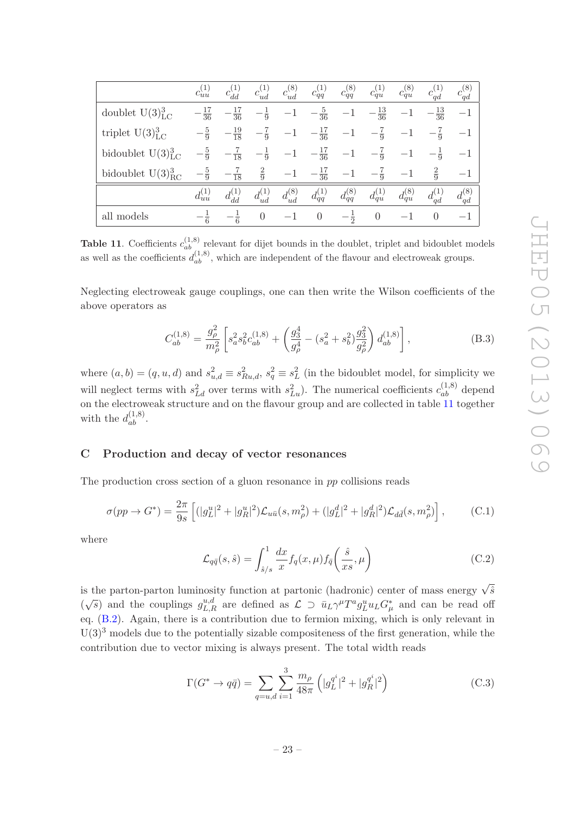|                         | $c_{uu}^{(1)}$   | $c_{dd}^{(1)}$                  | $c_{ud}^{(1)}$ | $c_{ud}^{(8)}$ | $c_{qq}^{(1)}$   | $c_{qq}^{(8)}$ | $c_{qu}^{(1)}$   | $c_{qu}^{(8)}$ | $c_{qd}^{(1)}$   | $c_{qd}^{(8)}$ |
|-------------------------|------------------|---------------------------------|----------------|----------------|------------------|----------------|------------------|----------------|------------------|----------------|
| doublet $U(3)_{LC}^3$   | $-\frac{17}{36}$ | $-\frac{17}{36}$                | $-\frac{1}{9}$ | $-1$           | $-\frac{5}{36}$  | $-1$           | $-\frac{13}{36}$ | $-1$           | $-\frac{13}{36}$ | $-1$           |
| triplet $U(3)_{LC}^3$   |                  | $-\frac{5}{9}$ $-\frac{19}{18}$ | $-\frac{7}{9}$ | $-1$           | $-\frac{17}{36}$ | $-1\,$         | $-\frac{7}{9}$   | $-1$           | $-\frac{7}{9}$   | $-1$           |
| bidoublet $U(3)_{LC}^3$ | $-\frac{5}{9}$   | $-\frac{7}{18}$                 | $-\frac{1}{9}$ | $-1$           | $-\frac{17}{36}$ | $-1$           | $-\frac{7}{9}$   | $-1$           | $-\frac{1}{9}$   | $-1$           |
| bidoublet $U(3)_{RC}^3$ | $-\frac{5}{9}$   | $-\frac{7}{18}$                 | $rac{2}{9}$    | $-1$           | $-\frac{17}{36}$ | $-1$           | $-\frac{7}{9}$   | $-1$           | $\frac{2}{9}$    | $^{-1}$        |
|                         | $d_{uu}^{(1)}$   | $d_{dd}^{(1)}$                  | $d_{ud}^{(1)}$ | $d_{ud}^{(8)}$ | $d_{qq}^{(1)}$   | $d_{qq}^{(8)}$ | $d_{qu}^{(1)}$   | $d_{qu}^{(8)}$ | $d_{qd}^{(1)}$   | $d_{qd}^{(8)}$ |
| all models              | $-\frac{1}{6}$   | $-\frac{1}{6}$                  | $\theta$       | $-1$           | $\theta$         | $-\frac{1}{2}$ | $\overline{0}$   | $-1$           | $\theta$         | $-1$           |

<span id="page-23-1"></span>**Table 11.** Coefficients  $c_{ab}^{(1,8)}$  relevant for dijet bounds in the doublet, triplet and bidoublet models as well as the coefficients  $d_{ab}^{(1,8)}$ , which are independent of the flavour and electroweak groups.

Neglecting electroweak gauge couplings, one can then write the Wilson coefficients of the above operators as

$$
C_{ab}^{(1,8)} = \frac{g_{\rho}^2}{m_{\rho}^2} \left[ s_a^2 s_b^2 c_{ab}^{(1,8)} + \left( \frac{g_3^4}{g_{\rho}^4} - (s_a^2 + s_b^2) \frac{g_3^2}{g_{\rho}^2} \right) d_{ab}^{(1,8)} \right],
$$
(B.3)

where  $(a, b) = (q, u, d)$  and  $s_{u,d}^2 \equiv s_{Ru,d}^2$ ,  $s_q^2 \equiv s_L^2$  (in the bidoublet model, for simplicity we will neglect terms with  $s_{Ld}^2$  over terms with  $s_{Lu}^2$ ). The numerical coefficients  $c_{ab}^{(1,8)}$  depend on the electroweak structure and on the flavour group and are collected in table [11](#page-23-1) together with the  $d_{ab}^{(1,8)}$ .

#### <span id="page-23-0"></span>C Production and decay of vector resonances

The production cross section of a gluon resonance in pp collisions reads

$$
\sigma(pp \to G^*) = \frac{2\pi}{9s} \left[ (|g_L^u|^2 + |g_R^u|^2) \mathcal{L}_{u\bar{u}}(s, m_\rho^2) + (|g_L^d|^2 + |g_R^d|^2) \mathcal{L}_{d\bar{d}}(s, m_\rho^2) \right],\tag{C.1}
$$

where

$$
\mathcal{L}_{q\bar{q}}(s,\hat{s}) = \int_{\hat{s}/s}^{1} \frac{dx}{x} f_q(x,\mu) f_{\bar{q}}\left(\frac{\hat{s}}{xs},\mu\right)
$$
(C.2)

is the parton-parton luminosity function at partonic (hadronic) center of mass energy  $\sqrt{\hat{s}}$  $(\sqrt{s})$  and the couplings  $g_{L,R}^{u,d}$  are defined as  $\mathcal{L} \supset \bar{u}_L \gamma^{\mu} T^a g_L^u u_L G_{\mu}^*$  and can be read off eq. [\(B.2\)](#page-22-2). Again, there is a contribution due to fermion mixing, which is only relevant in  $U(3)<sup>3</sup>$  models due to the potentially sizable compositeness of the first generation, while the contribution due to vector mixing is always present. The total width reads

$$
\Gamma(G^* \to q\bar{q}) = \sum_{q=u,d} \sum_{i=1}^3 \frac{m_\rho}{48\pi} \left( |g_L^{q^i}|^2 + |g_R^{q^i}|^2 \right) \tag{C.3}
$$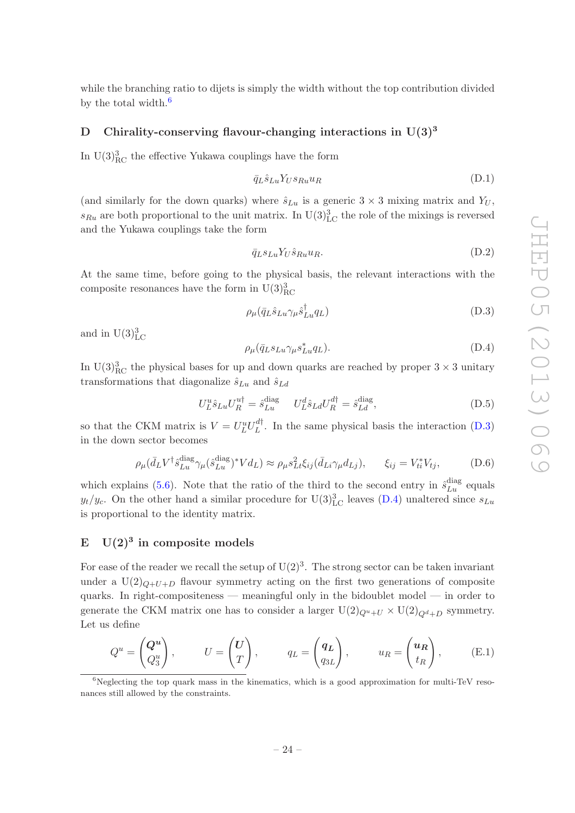while the branching ratio to dijets is simply the width without the top contribution divided by the total width. $^6$  $^6$ 

# <span id="page-24-0"></span>D Chirality-conserving flavour-changing interactions in  $U(3)^3$

In  $U(3)_{\text{RC}}^3$  the effective Yukawa couplings have the form

$$
\bar{q}_L \hat{s}_{Lu} Y_U s_{Ru} u_R \tag{D.1}
$$

(and similarly for the down quarks) where  $\hat{s}_{Lu}$  is a generic  $3 \times 3$  mixing matrix and  $Y_U$ ,  $s_{Ru}$  are both proportional to the unit matrix. In  $\mathrm{U}(3)_{\mathrm{LC}}^3$  the role of the mixings is reversed and the Yukawa couplings take the form

$$
\bar{q}_L s_{Lu} Y_U \hat{s}_{Ru} u_R. \tag{D.2}
$$

At the same time, before going to the physical basis, the relevant interactions with the composite resonances have the form in  $U(3)_{\text{RC}}^3$ 

<span id="page-24-3"></span>
$$
\rho_{\mu}(\bar{q}_L \hat{s}_{Lu} \gamma_{\mu} \hat{s}_{Lu}^{\dagger} q_L) \tag{D.3}
$$

and in  $U(3)_{\text{LC}}^3$ 

<span id="page-24-4"></span>
$$
\rho_{\mu}(\bar{q}_L s_{Lu} \gamma_{\mu} s_{Lu}^* q_L). \tag{D.4}
$$

In U(3)<sup>3</sup><sub>RC</sub> the physical bases for up and down quarks are reached by proper  $3 \times 3$  unitary transformations that diagonalize  $\hat{s}_{Lu}$  and  $\hat{s}_{Ld}$ 

$$
U_L^u \hat{s}_{Lu} U_R^{u\dagger} = \hat{s}_{Lu}^{\text{diag}} \qquad U_L^d \hat{s}_{Ld} U_R^{d\dagger} = \hat{s}_{Ld}^{\text{diag}}, \tag{D.5}
$$

so that the CKM matrix is  $V = U_L^u U_L^{d\dagger}$ . In the same physical basis the interaction [\(D.3\)](#page-24-3) in the down sector becomes

<span id="page-24-5"></span>
$$
\rho_{\mu}(\bar{d}_{L}V^{\dagger}\hat{s}_{Lu}^{\text{diag}}\gamma_{\mu}(\hat{s}_{Lu}^{\text{diag}})^{*}Vd_{L}) \approx \rho_{\mu}s_{Lt}^{2}\xi_{ij}(\bar{d}_{Li}\gamma_{\mu}d_{Lj}), \qquad \xi_{ij} = V_{ti}^{*}V_{tj}, \tag{D.6}
$$

which explains [\(5.6\)](#page-15-4). Note that the ratio of the third to the second entry in  $\hat{s}_{Lu}^{\text{diag}}$  equals  $y_t/y_c$ . On the other hand a similar procedure for U(3)<sup>3</sup><sub>LC</sub> leaves [\(D.4\)](#page-24-4) unaltered since  $s_{Lu}$ is proportional to the identity matrix.

# <span id="page-24-1"></span>E  $U(2)^3$  in composite models

For ease of the reader we recall the setup of  $U(2)^3$ . The strong sector can be taken invariant under a  $U(2)_{Q+U+D}$  flavour symmetry acting on the first two generations of composite quarks. In right-compositeness — meaningful only in the bidoublet model — in order to generate the CKM matrix one has to consider a larger  $U(2)_{Q^u+U} \times U(2)_{Q^d+D}$  symmetry. Let us define

$$
Q^u = \begin{pmatrix} Q^u \\ Q_3^u \end{pmatrix}, \qquad U = \begin{pmatrix} U \\ T \end{pmatrix}, \qquad q_L = \begin{pmatrix} q_L \\ q_{3L} \end{pmatrix}, \qquad u_R = \begin{pmatrix} u_R \\ t_R \end{pmatrix}, \qquad (E.1)
$$

<span id="page-24-2"></span> $6$ Neglecting the top quark mass in the kinematics, which is a good approximation for multi-TeV resonances still allowed by the constraints.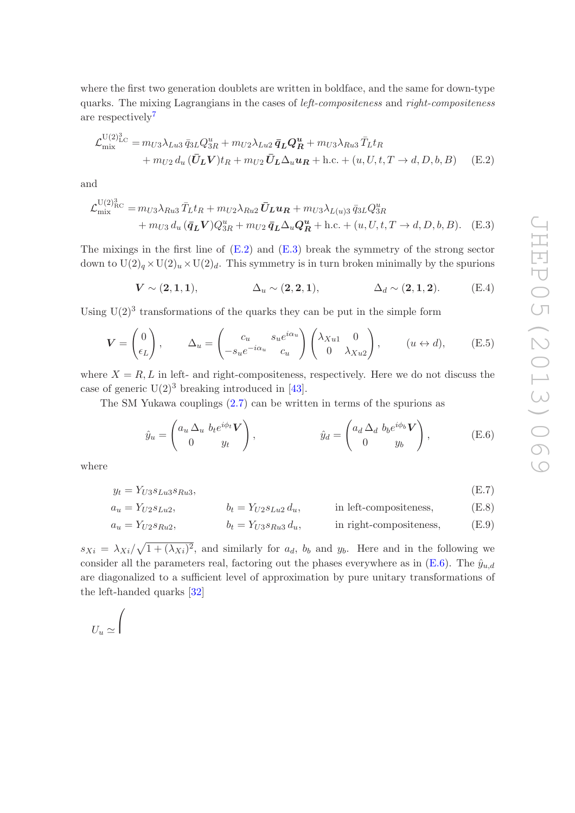b

where the first two generation doublets are written in boldface, and the same for down-type quarks. The mixing Lagrangians in the cases of left-compositeness and right-compositeness are respectively<sup>[7](#page-25-0)</sup>

$$
\mathcal{L}_{\text{mix}}^{\text{U}(2)_{\text{LC}}^{3}} = m_{U3} \lambda_{Lu3} \bar{q}_{3L} Q_{3R}^{u} + m_{U2} \lambda_{Lu2} \bar{q}_{L} Q_{R}^{u} + m_{U3} \lambda_{Ru3} \bar{T}_{L} t_{R} + m_{U2} d_{u} (\bar{U}_{L} V) t_{R} + m_{U2} \bar{U}_{L} \Delta_{u} u_{R} + \text{h.c.} + (u, U, t, T \rightarrow d, D, b, B)
$$
 (E.2)

and

Ru!s

$$
\mathcal{L}_{\text{mix}}^{U(2)_{\text{RC}}^{3}} = m_{U3} \lambda_{Ru3} \bar{T}_{L} t_{R} + m_{U2} \lambda_{Ru2} \bar{U}_{L} u_{R} + m_{U3} \lambda_{L(u)3} \bar{q}_{3L} Q_{3R}^{u} + m_{U3} d_{u} (\bar{q}_{L} V) Q_{3R}^{u} + m_{U2} \bar{q}_{L} \Delta_{u} Q_{R}^{u} + \text{h.c.} + (u, U, t, T \to d, D, b, B). \quad (E.3)
$$

The mixings in the first line of  $(E.2)$  and  $(E.3)$  break the symmetry of the strong sector down to  $U(2)_q \times U(2)_u \times U(2)_d$ . This symmetry is in turn broken minimally by the spurions

<span id="page-25-2"></span><span id="page-25-1"></span>
$$
V \sim (2, 1, 1), \qquad \Delta_u \sim (2, 2, 1), \qquad \Delta_d \sim (2, 1, 2). \qquad (E.4)
$$

Using  $U(2)^3$  transformations of the quarks they can be put in the simple form

$$
\mathbf{V} = \begin{pmatrix} 0 \\ \epsilon_L \end{pmatrix}, \qquad \Delta_u = \begin{pmatrix} c_u & s_u e^{i\alpha_u} \\ -s_u e^{-i\alpha_u} & c_u \end{pmatrix} \begin{pmatrix} \lambda_{Xu1} & 0 \\ 0 & \lambda_{Xu2} \end{pmatrix}, \qquad (u \leftrightarrow d), \qquad (E.5)
$$

where  $X = R$ , L in left- and right-compositeness, respectively. Here we do not discuss the case of generic  $U(2)^3$  breaking introduced in [\[43](#page-29-13)].

The SM Yukawa couplings [\(2.7\)](#page-4-3) can be written in terms of the spurions as

<span id="page-25-3"></span>
$$
\hat{y}_u = \begin{pmatrix} a_u \Delta_u & b_t e^{i\phi_t} V \\ 0 & y_t \end{pmatrix}, \qquad \hat{y}_d = \begin{pmatrix} a_d \Delta_d & b_b e^{i\phi_b} V \\ 0 & y_b \end{pmatrix}, \qquad (E.6)
$$

where

$$
y_t = Y_{U3} s_{Lu3} s_{Ru3},\tag{E.7}
$$

$$
a_u = Y_{U2} s_{Lu2}, \qquad b_t = Y_{U2} s_{Lu2} d_u, \qquad \text{in left-compositeness,} \qquad (E.8)
$$

$$
a_u = Y_{U2} s_{Ru2}, \t\t b_t = Y_{U3} s_{Ru3} d_u, \t\t in right-compositeness, \t\t (E.9)
$$

 $s_{Xi} = \lambda_{Xi}/\sqrt{1 + (\lambda_{Xi})^2}$ , and similarly for  $a_d$ ,  $b_b$  and  $y_b$ . Here and in the following we consider all the parameters real, factoring out the phases everywhere as in  $(E.6)$ . The  $\hat{y}_{u,d}$ are diagonalized to a sufficient level of approximation by pure unitary transformations of the left-handed quarks [\[32\]](#page-29-2)

<span id="page-25-4"></span><span id="page-25-0"></span>
$$
U_u \simeq \Bigg(
$$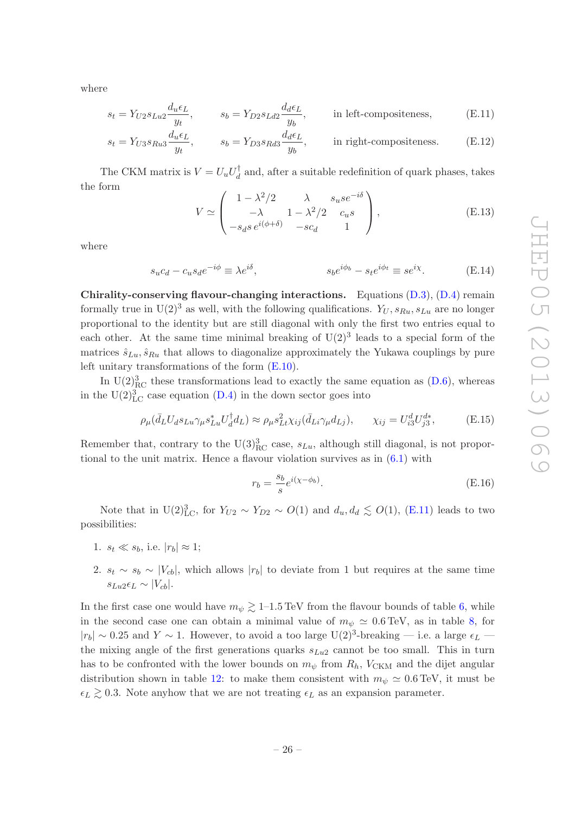where

$$
s_t = Y_{U2} s_{Lu2} \frac{d_u \epsilon_L}{y_t}, \qquad s_b = Y_{D2} s_{Ld2} \frac{d_d \epsilon_L}{y_b}, \qquad \text{in left-compositeness,} \tag{E.11}
$$

$$
s_t = Y_{U3} s_{Ru3} \frac{d_u \epsilon_L}{y_t}, \qquad s_b = Y_{D3} s_{Rd3} \frac{d_d \epsilon_L}{y_b}, \qquad \text{in right-compositeness.} \tag{E.12}
$$

The CKM matrix is  $V = U_u U_d^{\dagger}$  and, after a suitable redefinition of quark phases, takes the form

<span id="page-26-1"></span>
$$
V \simeq \begin{pmatrix} 1 - \lambda^2 / 2 & \lambda & s_u s e^{-i\delta} \\ -\lambda & 1 - \lambda^2 / 2 & c_u s \\ -s_d s \, e^{i(\phi + \delta)} & -s c_d & 1 \end{pmatrix},\tag{E.13}
$$

where

$$
s_u c_d - c_u s_d e^{-i\phi} \equiv \lambda e^{i\delta}, \qquad s_b e^{i\phi_b} - s_t e^{i\phi_t} \equiv s e^{i\chi}.
$$
 (E.14)

Chirality-conserving flavour-changing interactions. Equations [\(D.3\)](#page-24-3), [\(D.4\)](#page-24-4) remain formally true in  $U(2)^3$  as well, with the following qualifications.  $Y_U, s_{Ru}, s_{Lu}$  are no longer proportional to the identity but are still diagonal with only the first two entries equal to each other. At the same time minimal breaking of  $U(2)^3$  leads to a special form of the matrices  $\hat{s}_{Lu}, \hat{s}_{Ru}$  that allows to diagonalize approximately the Yukawa couplings by pure left unitary transformations of the form [\(E.10\)](#page-25-4).

In  $U(2)_{\text{RC}}^3$  these transformations lead to exactly the same equation as [\(D.6\)](#page-24-5), whereas in the  $U(2)_{\text{LC}}^3$  case equation [\(D.4\)](#page-24-4) in the down sector goes into

<span id="page-26-2"></span>
$$
\rho_{\mu}(\bar{d}_L U_d s_{Lu} \gamma_{\mu} s_{Lu}^* U_d^{\dagger} d_L) \approx \rho_{\mu} s_{Lt}^2 \chi_{ij}(\bar{d}_{Li} \gamma_{\mu} d_{Lj}), \qquad \chi_{ij} = U_{i3}^d U_{j3}^{d*}, \tag{E.15}
$$

Remember that, contrary to the  $\mathrm{U}(3)_{\text{RC}}^3$  case,  $s_{Lu}$ , although still diagonal, is not proportional to the unit matrix. Hence a flavour violation survives as in  $(6.1)$  with

<span id="page-26-0"></span>
$$
r_b = \frac{s_b}{s} e^{i(\chi - \phi_b)}.
$$
\n(E.16)

Note that in U(2)<sup>3</sup><sub>LC</sub>, for  $Y_{U2} \sim Y_{D2} \sim O(1)$  and  $d_u, d_d \lesssim O(1)$ , [\(E.11\)](#page-26-1) leads to two possibilities:

- 1.  $s_t \ll s_b$ , i.e.  $|r_b| \approx 1$ ;
- 2.  $s_t \sim s_b \sim |V_{cb}|$ , which allows  $|r_b|$  to deviate from 1 but requires at the same time  $s_{Lu2}\epsilon_L \sim |V_{cb}|.$

In the first case one would have  $m_{\psi} \gtrsim 1$ –1.5 TeV from the flavour bounds of table [6,](#page-18-2) while in the second case one can obtain a minimal value of  $m_{\psi} \simeq 0.6 \,\text{TeV}$ , as in table [8,](#page-20-0) for  $|r_b| \sim 0.25$  and  $Y \sim 1$ . However, to avoid a too large U(2)<sup>3</sup>-breaking — i.e. a large  $\epsilon_L$  the mixing angle of the first generations quarks  $s_{Lu2}$  cannot be too small. This in turn has to be confronted with the lower bounds on  $m_{\psi}$  from  $R_h$ ,  $V_{CKM}$  and the dijet angular distribution shown in table [12:](#page-27-6) to make them consistent with  $m_{\psi} \simeq 0.6$  TeV, it must be  $\epsilon_L \gtrsim 0.3$ . Note anyhow that we are not treating  $\epsilon_L$  as an expansion parameter.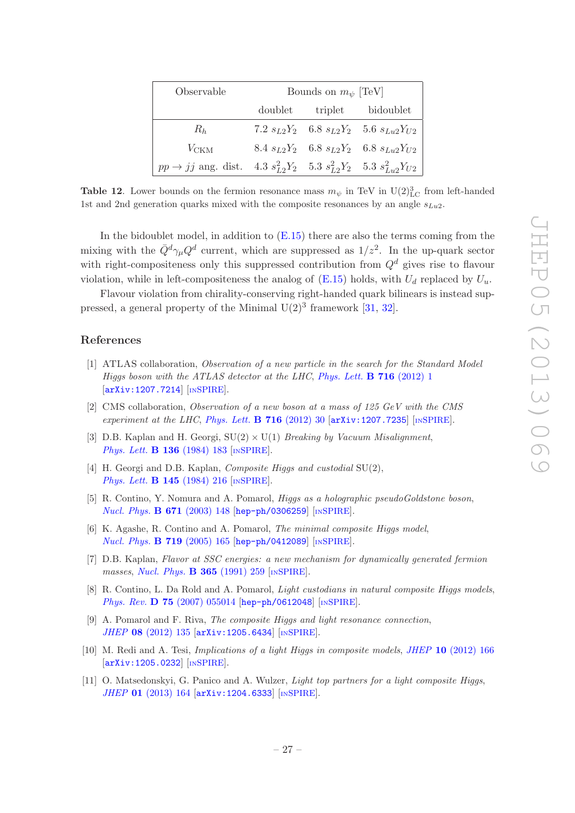| Observable                                                                                 | Bounds on $m_{\psi}$ [TeV] |  |                                                       |  |  |  |
|--------------------------------------------------------------------------------------------|----------------------------|--|-------------------------------------------------------|--|--|--|
|                                                                                            |                            |  | doublet triplet bidoublet                             |  |  |  |
| $R_h$                                                                                      |                            |  | 7.2 $s_{L2}Y_2$ 6.8 $s_{L2}Y_2$ 5.6 $s_{Lu2}Y_{U2}$   |  |  |  |
| $V_{\text{CKM}}$                                                                           |                            |  | $8.4 \ s_{L2}Y_2$ 6.8 $s_{L2}Y_2$ 6.8 $s_{Lu2}Y_{U2}$ |  |  |  |
| $pp \rightarrow jj$ ang. dist. 4.3 $s_{L2}^2 Y_2$ 5.3 $s_{L2}^2 Y_2$ 5.3 $s_{L2}^2 Y_{U2}$ |                            |  |                                                       |  |  |  |

<span id="page-27-6"></span>**Table 12.** Lower bounds on the fermion resonance mass  $m_{\psi}$  in TeV in U(2)<sup>3</sup><sub>LC</sub> from left-handed 1st and 2nd generation quarks mixed with the composite resonances by an angle  $s_{Lu2}$ .

In the bidoublet model, in addition to  $(E.15)$  there are also the terms coming from the mixing with the  $\bar{Q}^d \gamma_\mu Q^d$  current, which are suppressed as  $1/z^2$ . In the up-quark sector with right-compositeness only this suppressed contribution from  $Q<sup>d</sup>$  gives rise to flavour violation, while in left-compositeness the analog of [\(E.15\)](#page-26-2) holds, with  $U_d$  replaced by  $U_u$ .

Flavour violation from chirality-conserving right-handed quark bilinears is instead suppressed, a general property of the Minimal  $U(2)^3$  framework [\[31,](#page-29-1) [32](#page-29-2)].

# References

- <span id="page-27-0"></span>[1] ATLAS collaboration, Observation of a new particle in the search for the Standard Model Higgs boson with the ATLAS detector at the LHC, [Phys. Lett.](http://dx.doi.org/10.1016/j.physletb.2012.08.020) **B** 716 (2012) 1 [[arXiv:1207.7214](http://arxiv.org/abs/1207.7214)] [IN[SPIRE](http://inspirehep.net/search?p=find+EPRINT+arXiv:1207.7214)].
- <span id="page-27-1"></span>[2] CMS collaboration, Observation of a new boson at a mass of 125 GeV with the CMS experiment at the LHC, [Phys. Lett.](http://dx.doi.org/10.1016/j.physletb.2012.08.021) **B** 716 (2012) 30  $\left[\text{arXiv:1207.7235}\right]$  $\left[\text{arXiv:1207.7235}\right]$  $\left[\text{arXiv:1207.7235}\right]$   $\left[\text{INSPIRE}\right]$  $\left[\text{INSPIRE}\right]$  $\left[\text{INSPIRE}\right]$ .
- <span id="page-27-2"></span>[3] D.B. Kaplan and H. Georgi,  $SU(2) \times U(1)$  Breaking by Vacuum Misalignment, [Phys. Lett.](http://dx.doi.org/10.1016/0370-2693(84)91177-8) **B 136** (1984) 183 [IN[SPIRE](http://inspirehep.net/search?p=find+J+Phys.Lett.,B136,183)].
- [4] H. Georgi and D.B. Kaplan, *Composite Higgs and custodial* SU(2), [Phys. Lett.](http://dx.doi.org/10.1016/0370-2693(84)90341-1) **B 145** (1984) 216 [IN[SPIRE](http://inspirehep.net/search?p=find+J+Phys.Lett.,B145,216)].
- [5] R. Contino, Y. Nomura and A. Pomarol, Higgs as a holographic pseudoGoldstone boson, [Nucl. Phys.](http://dx.doi.org/10.1016/j.nuclphysb.2003.08.027) **B 671** (2003) 148 [[hep-ph/0306259](http://arxiv.org/abs/hep-ph/0306259)] [IN[SPIRE](http://inspirehep.net/search?p=find+EPRINT+hep-ph/0306259)].
- <span id="page-27-3"></span>[6] K. Agashe, R. Contino and A. Pomarol, The minimal composite Higgs model, *[Nucl. Phys.](http://dx.doi.org/10.1016/j.nuclphysb.2005.04.035)* **B** 719 (2005) 165 [[hep-ph/0412089](http://arxiv.org/abs/hep-ph/0412089)] [IN[SPIRE](http://inspirehep.net/search?p=find+EPRINT+hep-ph/0412089)].
- <span id="page-27-4"></span>[7] D.B. Kaplan, Flavor at SSC energies: a new mechanism for dynamically generated fermion masses, [Nucl. Phys.](http://dx.doi.org/10.1016/S0550-3213(05)80021-5) **B 365** (1991) 259 [IN[SPIRE](http://inspirehep.net/search?p=find+J+Nucl.Phys.,B365,259)].
- <span id="page-27-5"></span>[8] R. Contino, L. Da Rold and A. Pomarol, *Light custodians in natural composite Higgs models*, Phys. Rev. **D 75** [\(2007\) 055014](http://dx.doi.org/10.1103/PhysRevD.75.055014) [[hep-ph/0612048](http://arxiv.org/abs/hep-ph/0612048)] [IN[SPIRE](http://inspirehep.net/search?p=find+EPRINT+hep-ph/0612048)].
- [9] A. Pomarol and F. Riva, The composite Higgs and light resonance connection, JHEP 08 [\(2012\) 135](http://dx.doi.org/10.1007/JHEP08(2012)135) [[arXiv:1205.6434](http://arxiv.org/abs/1205.6434)] [IN[SPIRE](http://inspirehep.net/search?p=find+EPRINT+arXiv:1205.6434)].
- [10] M. Redi and A. Tesi, *Implications of a light Higgs in composite models, JHEP* 10 [\(2012\) 166](http://dx.doi.org/10.1007/JHEP10(2012)166) [[arXiv:1205.0232](http://arxiv.org/abs/1205.0232)] [IN[SPIRE](http://inspirehep.net/search?p=find+EPRINT+arXiv:1205.0232)].
- [11] O. Matsedonskyi, G. Panico and A. Wulzer, *Light top partners for a light composite Higgs*, JHEP 01 [\(2013\) 164](http://dx.doi.org/10.1007/JHEP01(2013)164) [[arXiv:1204.6333](http://arxiv.org/abs/1204.6333)] [IN[SPIRE](http://inspirehep.net/search?p=find+EPRINT+arXiv:1204.6333)].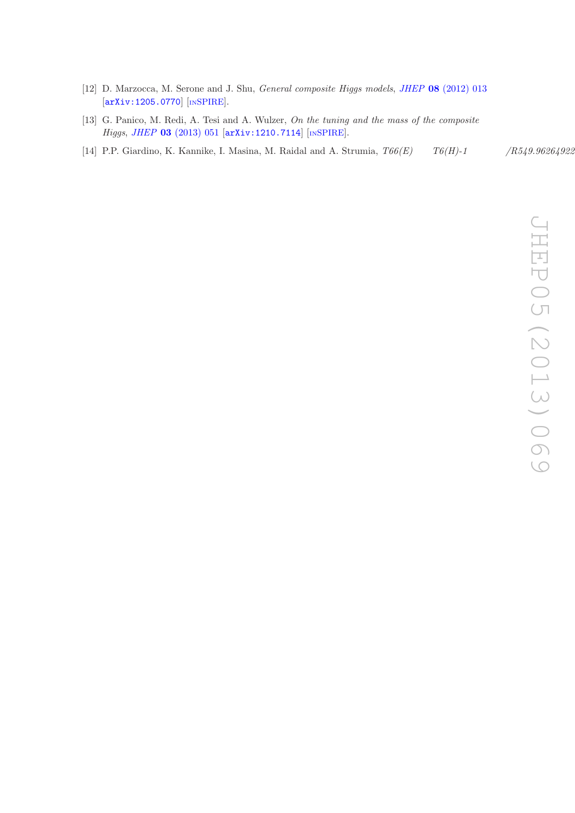- [12] D. Marzocca, M. Serone and J. Shu, General composite Higgs models, JHEP 08 [\(2012\) 013](http://dx.doi.org/10.1007/JHEP08(2012)013) [[arXiv:1205.0770](http://arxiv.org/abs/1205.0770)] [IN[SPIRE](http://inspirehep.net/search?p=find+EPRINT+arXiv:1205.0770)].
- <span id="page-28-0"></span>[13] G. Panico, M. Redi, A. Tesi and A. Wulzer, On the tuning and the mass of the composite Higgs, JHEP 03 [\(2013\) 051](http://dx.doi.org/10.1007/JHEP03(2013)051) [[arXiv:1210.7114](http://arxiv.org/abs/1210.7114)] [IN[SPIRE](http://inspirehep.net/search?p=find+EPRINT+arXiv:1210.7114)].
- <span id="page-28-7"></span><span id="page-28-6"></span><span id="page-28-5"></span><span id="page-28-4"></span><span id="page-28-3"></span><span id="page-28-2"></span><span id="page-28-1"></span>[14] P.P. Giardino, K. Kannike, I. Masina, M. Raidal and A. Strumia,